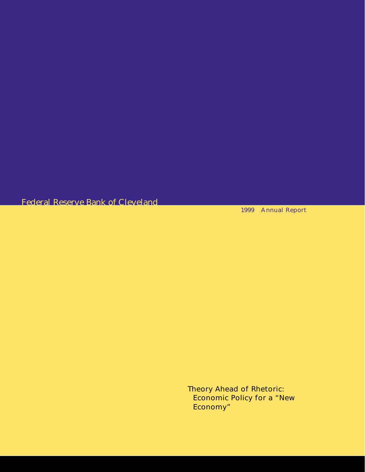Federal Reserve Bank of Cleveland

1999 Annual Report

Theory Ahead of Rhetoric: Economic Policy for a "New Economy"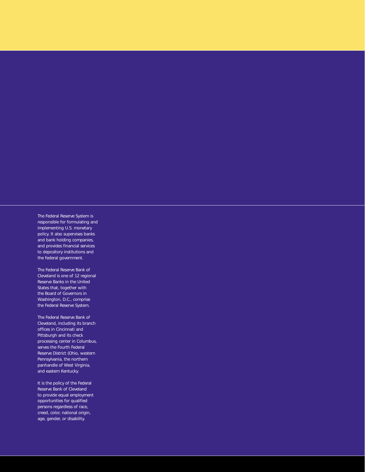The Federal Reserve System is responsible for formulating and implementing U.S. monetary policy. It also supervises banks and bank holding companies, and provides financial services to depository institutions and the federal government.

The Federal Reserve Bank of Cleveland is one of 12 regional Reserve Banks in the United States that, together with the Board of Governors in Washington, D.C., comprise the Federal Reserve System.

The Federal Reserve Bank of Cleveland, including its branch offices in Cincinnati and Pittsburgh and its check processing center in Columbus, serves the Fourth Federal Reserve District (Ohio, western Pennsylvania, the northern panhandle of West Virginia, and eastern Kentucky.

It is the policy of the Federal Reserve Bank of Cleveland to provide equal employment opportunities for qualified persons regardless of race, creed, color, national origin, age, gender, or disability.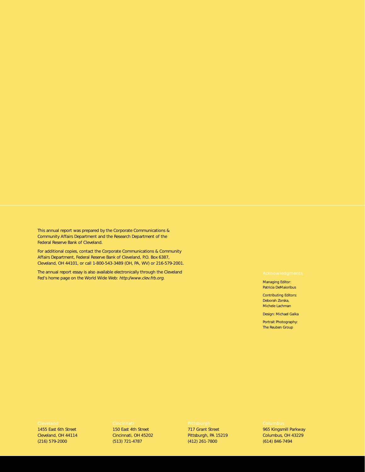This annual report was prepared by the Corporate Communications & Community Affairs Department and the Research Department of the Federal Reserve Bank of Cleveland.

For additional copies, contact the Corporate Communications & Community Affairs Department, Federal Reserve Bank of Cleveland, P.O. Box 6387, Cleveland, OH 44101, or call 1-800-543-3489 (OH, PA, WV) or 216-579-2001.

The annual report essay is also available electronically through the Cleveland Fed's home page on the World Wide Web: http://www.clev.frb.org.

Managing Editor: Patricia DeMaioribus

Contributing Editors: Deborah Zorska, Michele Lachman

Design: Michael Galka

Portrait Photography: The Reuben Group

1455 East 6th Street Cleveland, OH 44114 (216) 579-2000

150 East 4th Street Cincinnati, OH 45202 (513) 721-4787

717 Grant Street Pittsburgh, PA 15219 (412) 261-7800

965 Kingsmill Parkway Columbus, OH 43229 (614) 846-7494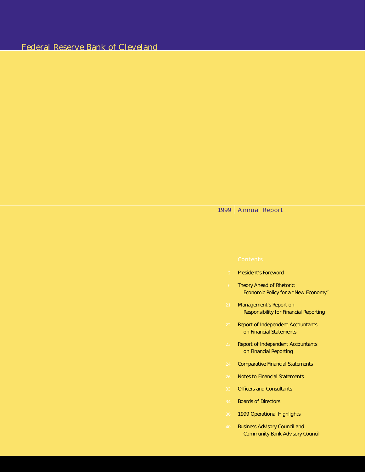### 1999 Annual Report

- 2 President's Foreword
- 6 Theory Ahead of Rhetoric: Economic Policy for a "New Economy"
- 21 Management's Report on Responsibility for Financial Reporting
- 22 Report of Independent Accountants on Financial Statements
- 23 Report of Independent Accountants on Financial Reporting
- 24 Comparative Financial Statements
- 26 Notes to Financial Statements
- 33 Officers and Consultants
- 34 Boards of Directors
- 36 1999 Operational Highlights
- 40 Business Advisory Council and Community Bank Advisory Council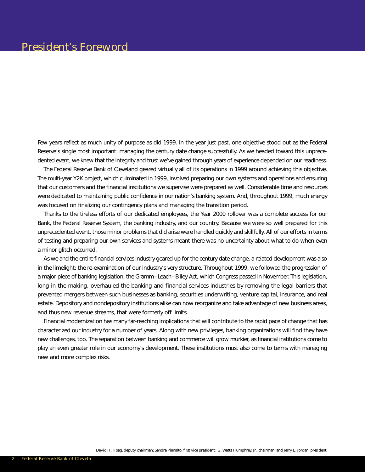Few years reflect as much unity of purpose as did 1999. In the year just past, one objective stood out as the Federal Reserve's single most important: managing the century date change successfully. As we headed toward this unprecedented event, we knew that the integrity and trust we've gained through years of experience depended on our readiness.

The Federal Reserve Bank of Cleveland geared virtually all of its operations in 1999 around achieving this objective. The multi-year Y2K project, which culminated in 1999, involved preparing our own systems and operations and ensuring that our customers and the financial institutions we supervise were prepared as well. Considerable time and resources were dedicated to maintaining public confidence in our nation's banking system. And, throughout 1999, much energy was focused on finalizing our contingency plans and managing the transition period.

Thanks to the tireless efforts of our dedicated employees, the Year 2000 rollover was a complete success for our Bank, the Federal Reserve System, the banking industry, and our country. Because we were so well prepared for this unprecedented event, those minor problems that did arise were handled quickly and skillfully. All of our efforts in terms of testing and preparing our own services and systems meant there was no uncertainty about what to do when even a minor glitch occurred.

As we and the entire financial services industry geared up for the century date change, a related development was also in the limelight: the re-examination of our industry's very structure. Throughout 1999, we followed the progression of a major piece of banking legislation, the Gramm–Leach–Bliley Act, which Congress passed in November. This legislation, long in the making, overhauled the banking and financial services industries by removing the legal barriers that prevented mergers between such businesses as banking, securities underwriting, venture capital, insurance, and real estate. Depository and nondepository institutions alike can now reorganize and take advantage of new business areas, and thus new revenue streams, that were formerly off limits.

Financial modernization has many far-reaching implications that will contribute to the rapid pace of change that has characterized our industry for a number of years. Along with new privileges, banking organizations will find they have new challenges, too. The separation between banking and commerce will grow murkier, as financial institutions come to play an even greater role in our economy's development. These institutions must also come to terms with managing new and more complex risks.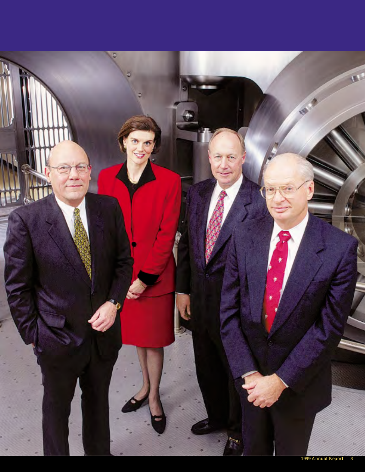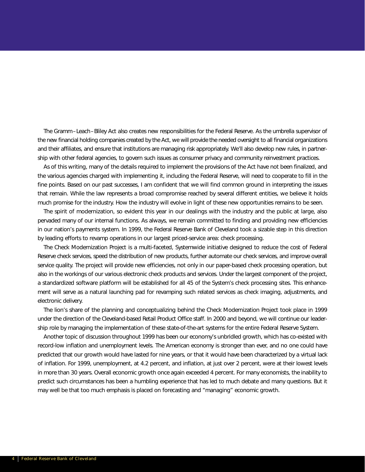The Gramm–Leach–Bliley Act also creates new responsibilities for the Federal Reserve. As the umbrella supervisor of the new financial holding companies created by the Act, we will provide the needed oversight to all financial organizations and their affiliates, and ensure that institutions are managing risk appropriately. We'll also develop new rules, in partnership with other federal agencies, to govern such issues as consumer privacy and community reinvestment practices.

As of this writing, many of the details required to implement the provisions of the Act have not been finalized, and the various agencies charged with implementing it, including the Federal Reserve, will need to cooperate to fill in the fine points. Based on our past successes, I am confident that we will find common ground in interpreting the issues that remain. While the law represents a broad compromise reached by several different entities, we believe it holds much promise for the industry. How the industry will evolve in light of these new opportunities remains to be seen.

The spirit of modernization, so evident this year in our dealings with the industry and the public at large, also pervaded many of our internal functions. As always, we remain committed to finding and providing new efficiencies in our nation's payments system. In 1999, the Federal Reserve Bank of Cleveland took a sizable step in this direction by leading efforts to revamp operations in our largest priced-service area: check processing.

The Check Modernization Project is a multi-faceted, Systemwide initiative designed to reduce the cost of Federal Reserve check services, speed the distribution of new products, further automate our check services, and improve overall service quality. The project will provide new efficiencies, not only in our paper-based check processing operation, but also in the workings of our various electronic check products and services. Under the largest component of the project, a standardized software platform will be established for all 45 of the System's check processing sites. This enhancement will serve as a natural launching pad for revamping such related services as check imaging, adjustments, and electronic delivery.

The lion's share of the planning and conceptualizing behind the Check Modernization Project took place in 1999 under the direction of the Cleveland-based Retail Product Office staff. In 2000 and beyond, we will continue our leadership role by managing the implementation of these state-of-the-art systems for the entire Federal Reserve System.

Another topic of discussion throughout 1999 has been our economy's unbridled growth, which has co-existed with record-low inflation and unemployment levels. The American economy is stronger than ever, and no one could have predicted that our growth would have lasted for nine years, or that it would have been characterized by a virtual lack of inflation. For 1999, unemployment, at 4.2 percent, and inflation, at just over 2 percent, were at their lowest levels in more than 30 years. Overall economic growth once again exceeded 4 percent. For many economists, the inability to predict such circumstances has been a humbling experience that has led to much debate and many questions. But it may well be that too much emphasis is placed on forecasting and "managing" economic growth.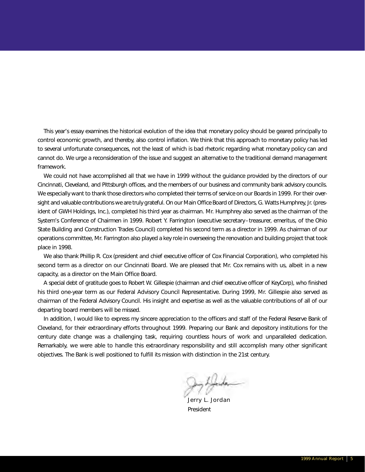This year's essay examines the historical evolution of the idea that monetary policy should be geared principally to control economic growth, and thereby, also control inflation. We think that this approach to monetary policy has led to several unfortunate consequences, not the least of which is bad rhetoric regarding what monetary policy can and cannot do. We urge a reconsideration of the issue and suggest an alternative to the traditional demand management framework.

We could not have accomplished all that we have in 1999 without the guidance provided by the directors of our Cincinnati, Cleveland, and Pittsburgh offices, and the members of our business and community bank advisory councils. We especially want to thank those directors who completed their terms of service on our Boards in 1999. For their oversight and valuable contributions we are truly grateful. On our Main Office Board of Directors, G. Watts Humphrey, Jr. (president of GWH Holdings, Inc.), completed his third year as chairman. Mr. Humphrey also served as the chairman of the System's Conference of Chairmen in 1999. Robert Y. Farrington (executive secretary–treasurer, emeritus, of the Ohio State Building and Construction Trades Council) completed his second term as a director in 1999. As chairman of our operations committee, Mr. Farrington also played a key role in overseeing the renovation and building project that took place in 1998.

We also thank Phillip R. Cox (president and chief executive officer of Cox Financial Corporation), who completed his second term as a director on our Cincinnati Board. We are pleased that Mr. Cox remains with us, albeit in a new capacity, as a director on the Main Office Board.

A special debt of gratitude goes to Robert W. Gillespie (chairman and chief executive officer of KeyCorp), who finished his third one-year term as our Federal Advisory Council Representative. During 1999, Mr. Gillespie also served as chairman of the Federal Advisory Council. His insight and expertise as well as the valuable contributions of all of our departing board members will be missed.

In addition, I would like to express my sincere appreciation to the officers and staff of the Federal Reserve Bank of Cleveland, for their extraordinary efforts throughout 1999. Preparing our Bank and depository institutions for the century date change was a challenging task, requiring countless hours of work and unparalleled dedication. Remarkably, we were able to handle this extraordinary responsibility and still accomplish many other significant objectives. The Bank is well positioned to fulfill its mission with distinction in the 21st century.

Jerry L. Jordan President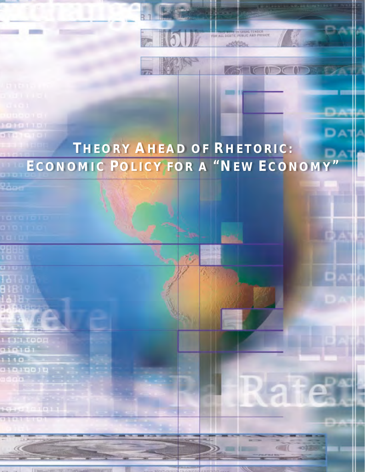# **THEORY AHEAD OF RHETORIC: ECONOMIC POLICY FOR A "NEW ECONOMY"**

**LEGAL TENDER**<br>UBLIC AND PRIVATE

D

 $\mathbb{H}$ 

 $111100$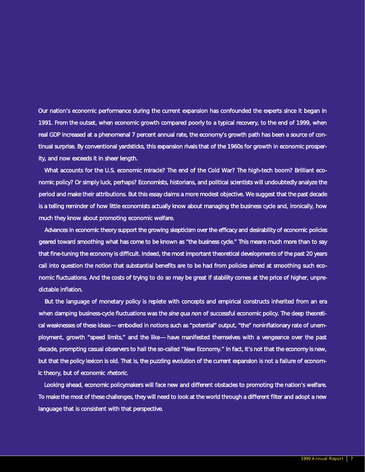Our nation's economic performance during the current expansion has confounded the experts since it began in 1991. From the outset, when economic growth compared poorly to a typical recovery, to the end of 1999, when real GDP increased at a phenomenal 7 percent annual rate, the economy's growth path has been a source of continual surprise. By conventional yardsticks, this expansion rivals that of the 1960s for growth in economic prosperity, and now exceeds it in sheer length.

What accounts for the U.S. economic miracle? The end of the Cold War? The high-tech boom? Brilliant economic policy? Or simply luck, perhaps? Economists, historians, and political scientists will undoubtedly analyze the period and make their attributions. But this essay claims a more modest objective. We suggest that the past decade is a telling reminder of how little economists actually know about managing the business cycle and, ironically, how much they know about promoting economic welfare.

Advances in economic theory support the growing skepticism over the efficacy and desirability of economic policies geared toward smoothing what has come to be known as "the business cycle." This means much more than to say that fine-tuning the economy is difficult. Indeed, the most important theoretical developments of the past 20 years call into question the notion that substantial benefits are to be had from policies aimed at smoothing such economic fluctuations. And the costs of trying to do so may be great if stability comes at the price of higher, unpredictable inflation.

But the language of monetary policy is replete with concepts and empirical constructs inherited from an era when damping business-cycle fluctuations was the sine qua non of successful economic policy. The deep theoretical weaknesses of these ideas— embodied in notions such as "potential" output, "the" noninflationary rate of unemployment, growth "speed limits," and the like— have manifested themselves with a vengeance over the past decade, prompting casual observers to hail the so-called "New Economy." In fact, it's not that the economy is new, but that the policy lexicon is old. That is, the puzzling evolution of the current expansion is not a failure of economic theory, but of economic rhetoric.

Looking ahead, economic policymakers will face new and different obstacles to promoting the nation's welfare. To make the most of these challenges, they will need to look at the world through a different filter and adopt a new language that is consistent with that perspective.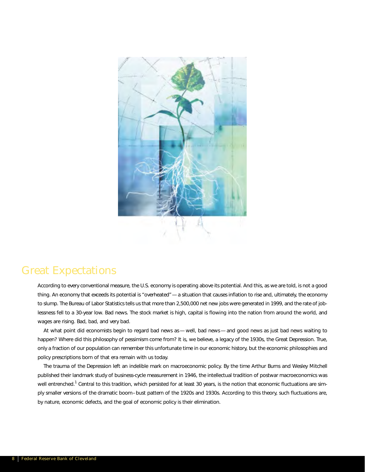

## Great Expectations

According to every conventional measure, the U.S. economy is operating above its potential. And this, as we are told, is not a good thing. An economy that exceeds its potential is "overheated"— a situation that causes inflation to rise and, ultimately, the economy to slump. The Bureau of Labor Statistics tells us that more than 2,500,000 net new jobs were generated in 1999, and the rate of joblessness fell to a 30-year low. Bad news. The stock market is high, capital is flowing into the nation from around the world, and wages are rising. Bad, bad, and very bad.

At what point did economists begin to regard bad news as — well, bad news — and good news as just bad news waiting to happen? Where did this philosophy of pessimism come from? It is, we believe, a legacy of the 1930s, the Great Depression. True, only a fraction of our population can remember this unfortunate time in our economic history, but the economic philosophies and policy prescriptions born of that era remain with us today.

The trauma of the Depression left an indelible mark on macroeconomic policy. By the time Arthur Burns and Wesley Mitchell published their landmark study of business-cycle measurement in 1946, the intellectual tradition of postwar macroeconomics was well entrenched.<sup>1</sup> Central to this tradition, which persisted for at least 30 years, is the notion that economic fluctuations are simply smaller versions of the dramatic boom–bust pattern of the 1920s and 1930s. According to this theory, such fluctuations are, by nature, economic defects, and the goal of economic policy is their elimination.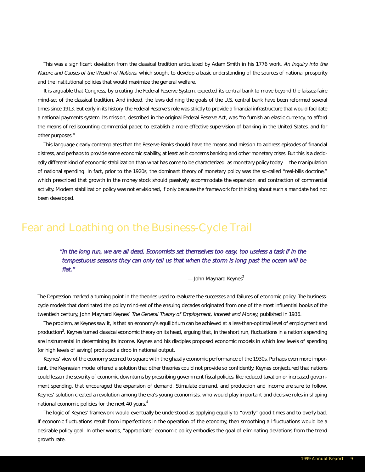This was a significant deviation from the classical tradition articulated by Adam Smith in his 1776 work, An Inquiry into the Nature and Causes of the Wealth of Nations, which sought to develop a basic understanding of the sources of national prosperity and the institutional policies that would maximize the general welfare.

It is arguable that Congress, by creating the Federal Reserve System, expected its central bank to move beyond the laissez-faire mind-set of the classical tradition. And indeed, the laws defining the goals of the U.S. central bank have been reformed several times since 1913. But early in its history, the Federal Reserve's role was strictly to provide a financial infrastructure that would facilitate a national payments system. Its mission, described in the original Federal Reserve Act, was "to furnish an elastic currency, to afford the means of rediscounting commercial paper, to establish a more effective supervision of banking in the United States, and for other purposes."

This language clearly contemplates that the Reserve Banks should have the means and mission to address episodes of financial distress, and perhaps to provide some economic stability, at least as it concerns banking and other monetary crises. But this is a decidedly different kind of economic stabilization than what has come to be characterized as monetary policy today — the manipulation of national spending. In fact, prior to the 1920s, the dominant theory of monetary policy was the so-called "real-bills doctrine," which prescribed that growth in the money stock should passively accommodate the expansion and contraction of commercial activity. Modern stabilization policy was not envisioned, if only because the framework for thinking about such a mandate had not been developed.

# Fear and Loathing on the Business-Cycle Trail

"In the long run, we are all dead. Economists set themselves too easy, too useless a task if in the tempestuous seasons they can only tell us that when the storm is long past the ocean will be flat."

 $-$  John Maynard Keynes<sup>2</sup>

The Depression marked a turning point in the theories used to evaluate the successes and failures of economic policy. The businesscycle models that dominated the policy mind-set of the ensuing decades originated from one of the most influential books of the twentieth century, John Maynard Keynes' The General Theory of Employment, Interest and Money, published in 1936.

The problem, as Keynes saw it, is that an economy's equilibrium can be achieved at a less-than-optimal level of employment and production<sup>3</sup>. Keynes turned classical economic theory on its head, arguing that, in the short run, fluctuations in a nation's spending are instrumental in determining its income. Keynes and his disciples proposed economic models in which low levels of spending (or high levels of saving) produced a drop in national output.

Keynes' view of the economy seemed to square with the ghastly economic performance of the 1930s. Perhaps even more important, the Keynesian model offered a solution that other theories could not provide so confidently. Keynes conjectured that nations could lessen the severity of economic downturns by prescribing government fiscal policies, like reduced taxation or increased government spending, that encouraged the expansion of demand. Stimulate demand, and production and income are sure to follow. Keynes' solution created a revolution among the era's young economists, who would play important and decisive roles in shaping national economic policies for the next 40 years.<sup>4</sup>

The logic of Keynes' framework would eventually be understood as applying equally to "overly" good times and to overly bad. If economic fluctuations result from imperfections in the operation of the economy, then smoothing all fluctuations would be a desirable policy goal. In other words, "appropriate" economic policy embodies the goal of eliminating deviations from the trend growth rate.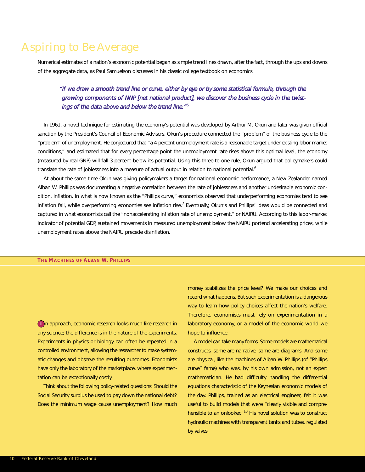## Aspiring to Be Average

Numerical estimates of a nation's economic potential began as simple trend lines drawn, after the fact, through the ups and downs of the aggregate data, as Paul Samuelson discusses in his classic college textbook on economics:

### "If we draw a smooth trend line or curve, either by eye or by some statistical formula, through the growing components of NNP [net national product], we discover the business cycle in the twistings of the data above and below the trend line.  $^{n5}$

In 1961, a novel technique for estimating the economy's potential was developed by Arthur M. Okun and later was given official sanction by the President's Council of Economic Advisers. Okun's procedure connected the "problem" of the business cycle to the "problem" of unemployment. He conjectured that "a 4 percent unemployment rate is a reasonable target under existing labor market conditions," and estimated that for every percentage point the unemployment rate rises above this optimal level, the economy (measured by real GNP) will fall 3 percent below its potential. Using this three-to-one rule, Okun argued that policymakers could translate the rate of joblessness into a measure of actual output in relation to national potential.<sup>6</sup>

At about the same time Okun was giving policymakers a target for national economic performance, a New Zealander named Alban W. Phillips was documenting a negative correlation between the rate of joblessness and another undesirable economic condition, inflation. In what is now known as the "Phillips curve," economists observed that underperforming economies tend to see inflation fall, while overperforming economies see inflation rise.<sup>7</sup> Eventually, Okun's and Phillips' ideas would be connected and captured in what economists call the "nonaccelerating inflation rate of unemployment," or NAIRU. According to this labor-market indicator of potential GDP, sustained movements in measured unemployment below the NAIRU portend accelerating prices, while unemployment rates above the NAIRU precede disinflation.

### **THE MACHINES OF ALBAN W. PHILLIPS**

**I** In approach, economic research looks much like research in any science; the difference is in the nature of the experiments. Experiments in physics or biology can often be repeated in a controlled environment, allowing the researcher to make systematic changes and observe the resulting outcomes. Economists have only the laboratory of the marketplace, where experimentation can be exceptionally costly.

Think about the following policy-related questions: Should the Social Security surplus be used to pay down the national debt? Does the minimum wage cause unemployment? How much money stabilizes the price level? We make our choices and record what happens. But such experimentation is a dangerous way to learn how policy choices affect the nation's welfare. Therefore, economists must rely on experimentation in a laboratory economy, or a model of the economic world we hope to influence.

A model can take many forms. Some models are mathematical constructs, some are narrative, some are diagrams. And some are physical, like the machines of Alban W. Phillips (of "Phillips curve" fame) who was, by his own admission, not an expert mathematician. He had difficulty handling the differential equations characteristic of the Keynesian economic models of the day. Phillips, trained as an electrical engineer, felt it was useful to build models that were "clearly visible and comprehensible to an onlooker."<sup>10</sup> His novel solution was to construct hydraulic machines with transparent tanks and tubes, regulated by valves.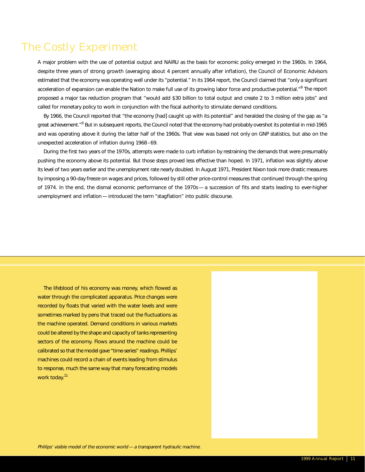## The Costly Experiment

A major problem with the use of potential output and NAIRU as the basis for economic policy emerged in the 1960s. In 1964, despite three years of strong growth (averaging about 4 percent annually after inflation), the Council of Economic Advisors estimated that the economy was operating well under its "potential." In its 1964 report, the Council claimed that "only a significant acceleration of expansion can enable the Nation to make full use of its growing labor force and productive potential."<sup>8</sup> The report proposed a major tax reduction program that "would add \$30 billion to total output and create 2 to 3 million extra jobs" and called for monetary policy to work in conjunction with the fiscal authority to stimulate demand conditions.

By 1966, the Council reported that "the economy [had] caught up with its potential" and heralded the closing of the gap as "a great achievement."<sup>9</sup> But in subsequent reports, the Council noted that the economy had probably overshot its potential in mid-1965 and was operating above it during the latter half of the 1960s. That view was based not only on GNP statistics, but also on the unexpected acceleration of inflation during 1968–69.

During the first two years of the 1970s, attempts were made to curb inflation by restraining the demands that were presumably pushing the economy above its potential. But those steps proved less effective than hoped. In 1971, inflation was slightly above its level of two years earlier and the unemployment rate nearly doubled. In August 1971, President Nixon took more drastic measures by imposing a 90-day freeze on wages and prices, followed by still other price-control measures that continued through the spring of 1974. In the end, the dismal economic performance of the 1970s — a succession of fits and starts leading to ever-higher unemployment and inflation — introduced the term "stagflation" into public discourse.

The lifeblood of his economy was money, which flowed as water through the complicated apparatus. Price changes were recorded by floats that varied with the water levels and were sometimes marked by pens that traced out the fluctuations as the machine operated. Demand conditions in various markets could be altered by the shape and capacity of tanks representing sectors of the economy. Flows around the machine could be calibrated so that the model gave "time-series" readings. Phillips' machines could record a chain of events leading from stimulus to response, much the same way that many forecasting models work today.<sup>11</sup>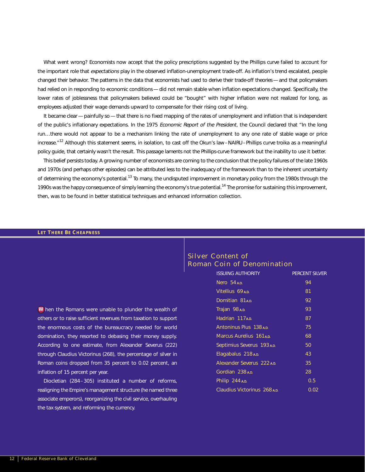What went wrong? Economists now accept that the policy prescriptions suggested by the Phillips curve failed to account for the important role that expectations play in the observed inflation-unemployment trade-off. As inflation's trend escalated, people changed their behavior. The patterns in the data that economists had used to derive their trade-off theories—and that policymakers had relied on in responding to economic conditions — did not remain stable when inflation expectations changed. Specifically, the lower rates of joblessness that policymakers believed could be "bought" with higher inflation were not realized for long, as employees adjusted their wage demands upward to compensate for their rising cost of living.

It became clear — painfully so — that there is no fixed mapping of the rates of unemployment and inflation that is independent of the public's inflationary expectations. In the 1975 Economic Report of the President, the Council declared that "In the long run…there would not appear to be a mechanism linking the rate of unemployment to any one rate of stable wage or price increase."<sup>12</sup> Although this statement seems, in isolation, to cast off the Okun's law–NAIRU–Phillips curve troika as a meaningful policy guide, that certainly wasn't the result. This passage laments not the Phillips-curve framework but the inability to use it better.

This belief persists today. A growing number of economists are coming to the conclusion that the policy failures of the late 1960s and 1970s (and perhaps other episodes) can be attributed less to the inadequacy of the framework than to the inherent uncertainty of determining the economy's potential.<sup>13</sup> To many, the undisputed improvement in monetary policy from the 1980s through the 1990s was the happy consequence of simply learning the economy's true potential.<sup>14</sup> The promise for sustaining this improvement, then, was to be found in better statistical techniques and enhanced information collection.

### **LET THERE BE CHEAPNESS**

**W** hen the Romans were unable to plunder the wealth of others or to raise sufficient revenues from taxation to support the enormous costs of the bureaucracy needed for world domination, they resorted to debasing their money supply. According to one estimate, from Alexander Severus (222) through Claudius Victorinus (268), the percentage of silver in Roman coins dropped from 35 percent to 0.02 percent, an inflation of 15 percent per year.

Diocletian (284–305) instituted a number of reforms, realigning the Empire's management structure (he named three associate emperors), reorganizing the civil service, overhauling the tax system, and reforming the currency.

### Silver Content of Roman Coin of Denomination

| <b>ISSUING AUTHORITY</b>     | <b>PERCENT SILVER</b> |
|------------------------------|-----------------------|
| Nero 54 A.D.                 | 94                    |
| Vitellius 69 A.D.            | 81                    |
| Domitian 81AD.               | 92                    |
| Trajan 98 A.D.               | 93                    |
| Hadrian 117AD.               | 87                    |
| Antoninus Pius 138 A.D.      | 75                    |
| Marcus Aurelius 161AD.       | 68                    |
| Septimius Severus 193 A.D.   | 50                    |
| Elagabalus 218 A.D.          | 43                    |
| Alexander Severus 222 A.D.   | 35                    |
| Gordian 238 A.D.             | 28                    |
| Philip 244 A.D.              | 0.5                   |
| Claudius Victorinus 268 A.D. | 0.02                  |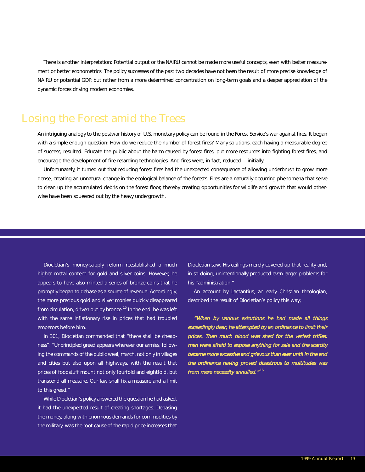There is another interpretation: Potential output or the NAIRU cannot be made more useful concepts, even with better measurement or better econometrics. The policy successes of the past two decades have not been the result of more precise knowledge of NAIRU or potential GDP, but rather from a more determined concentration on long-term goals and a deeper appreciation of the dynamic forces driving modern economies.

# Losing the Forest amid the Trees

An intriguing analogy to the postwar history of U.S. monetary policy can be found in the Forest Service's war against fires. It began with a simple enough question: How do we reduce the number of forest fires? Many solutions, each having a measurable degree of success, resulted. Educate the public about the harm caused by forest fires, put more resources into fighting forest fires, and encourage the development of fire-retarding technologies. And fires were, in fact, reduced — initially.

Unfortunately, it turned out that reducing forest fires had the unexpected consequence of allowing underbrush to grow more dense, creating an unnatural change in the ecological balance of the forests. Fires are a naturally occurring phenomena that serve to clean up the accumulated debris on the forest floor, thereby creating opportunities for wildlife and growth that would otherwise have been squeezed out by the heavy undergrowth.

Diocletian's money-supply reform reestablished a much higher metal content for gold and silver coins. However, he appears to have also minted a series of bronze coins that he promptly began to debase as a source of revenue. Accordingly, the more precious gold and silver monies quickly disappeared from circulation, driven out by bronze.<sup>15</sup> In the end, he was left with the same inflationary rise in prices that had troubled emperors before him.

In 301, Diocletian commanded that "there shall be cheapness": "Unprincipled greed appears wherever our armies, following the commands of the public weal, march, not only in villages and cities but also upon all highways, with the result that prices of foodstuff mount not only fourfold and eightfold, but transcend all measure. Our law shall fix a measure and a limit to this greed."

While Diocletian's policy answered the question he had asked, it had the unexpected result of creating shortages. Debasing the money, along with enormous demands for commodities by the military, was the root cause of the rapid price increases that Diocletian saw. His ceilings merely covered up that reality and, in so doing, unintentionally produced even larger problems for his "administration."

An account by Lactantius, an early Christian theologian, described the result of Diocletian's policy this way;

"When by various extortions he had made all things exceedingly dear, he attempted by an ordinance to limit their prices. Then much blood was shed for the veriest trifles: men were afraid to expose anything for sale and the scarcity became more excessive and grievous than ever until in the end the ordinance having proved disastrous to multitudes was from mere necessity annulled. $n^{16}$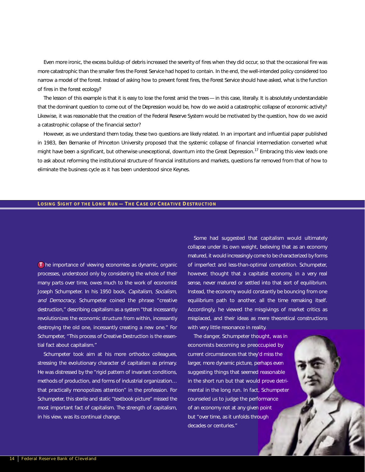Even more ironic, the excess buildup of debris increased the severity of fires when they did occur, so that the occasional fire was more catastrophic than the smaller fires the Forest Service had hoped to contain. In the end, the well-intended policy considered too narrow a model of the forest. Instead of asking how to prevent forest fires, the Forest Service should have asked, what is the function of fires in the forest ecology?

The lesson of this example is that it is easy to lose the forest amid the trees — in this case, literally. It is absolutely understandable that the dominant question to come out of the Depression would be, how do we avoid a catastrophic collapse of economic activity? Likewise, it was reasonable that the creation of the Federal Reserve System would be motivated by the question, how do we avoid a catastrophic collapse of the financial sector?

However, as we understand them today, these two questions are likely related. In an important and influential paper published in 1983, Ben Bernanke of Princeton University proposed that the systemic collapse of financial intermediation converted what might have been a significant, but otherwise unexceptional, downturn into the Great Depression.<sup>17</sup> Embracing this view leads one to ask about reforming the institutional structure of financial institutions and markets, questions far removed from that of how to eliminate the business cycle as it has been understood since Keynes.

### **LOSING SIGHT OF THE LONG RUN— THE CASE OF CREATIVE DESTRUCTION**

**T** he importance of viewing economies as dynamic, organic processes, understood only by considering the whole of their many parts over time, owes much to the work of economist Joseph Schumpeter. In his 1950 book, Capitalism, Socialism, and Democracy, Schumpeter coined the phrase "creative destruction," describing capitalism as a system "that incessantly revolutionizes the economic structure from within, incessantly destroying the old one, incessantly creating a new one." For Schumpeter, "This process of Creative Destruction is the essential fact about capitalism."

Schumpeter took aim at his more orthodox colleagues, stressing the evolutionary character of capitalism as primary. He was distressed by the "rigid pattern of invariant conditions, methods of production, and forms of industrial organization… that practically monopolizes attention" in the profession. For Schumpeter, this sterile and static "textbook picture" missed the most important fact of capitalism. The strength of capitalism, in his view, was its continual change.

Some had suggested that capitalism would ultimately collapse under its own weight, believing that as an economy matured, it would increasingly come to be characterized by forms of imperfect and less-than-optimal competition. Schumpeter, however, thought that a capitalist economy, in a very real sense, never matured or settled into that sort of equilibrium. Instead, the economy would constantly be bouncing from one equilibrium path to another, all the time remaking itself. Accordingly, he viewed the misgivings of market critics as misplaced, and their ideas as mere theoretical constructions with very little resonance in reality.

The danger, Schumpeter thought, was in economists becoming so preoccupied by current circumstances that they'd miss the larger, more dynamic picture, perhaps even suggesting things that seemed reasonable in the short run but that would prove detrimental in the long run. In fact, Schumpeter counseled us to judge the performance of an economy not at any given point but "over time, as it unfolds through decades or centuries."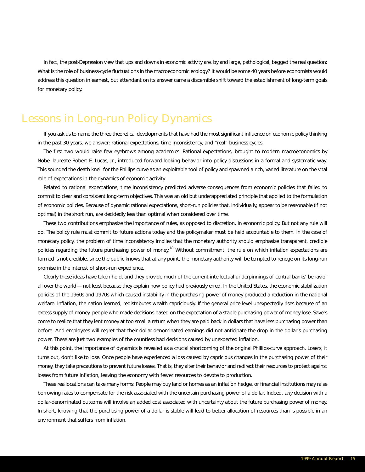In fact, the post-Depression view that ups and downs in economic activity are, by and large, pathological, begged the real question: What is the role of business-cycle fluctuations in the macroeconomic ecology? It would be some 40 years before economists would address this question in earnest, but attendant on its answer came a discernible shift toward the establishment of long-term goals for monetary policy.

# Lessons in Long-run Policy Dynamics

If you ask us to name the three theoretical developments that have had the most significant influence on economic policy thinking in the past 30 years, we answer: rational expectations, time inconsistency, and "real" business cycles.

The first two would raise few eyebrows among academics. Rational expectations, brought to modern macroeconomics by Nobel laureate Robert E. Lucas, Jr., introduced forward-looking behavior into policy discussions in a formal and systematic way. This sounded the death knell for the Phillips curve as an exploitable tool of policy and spawned a rich, varied literature on the vital role of expectations in the dynamics of economic activity.

Related to rational expectations, time inconsistency predicted adverse consequences from economic policies that failed to commit to clear and consistent long-term objectives. This was an old but underappreciated principle that applied to the formulation of economic policies. Because of dynamic rational expectations, short-run policies that, individually, appear to be reasonable (if not optimal) in the short run, are decidedly less than optimal when considered over time.

These two contributions emphasize the importance of rules, as opposed to discretion, in economic policy. But not any rule will do. The policy rule must commit to future actions today and the policymaker must be held accountable to them. In the case of monetary policy, the problem of time inconsistency implies that the monetary authority should emphasize transparent, credible policies regarding the future purchasing power of money.<sup>18</sup> Without commitment, the rule on which inflation expectations are formed is not credible, since the public knows that at any point, the monetary authority will be tempted to renege on its long-run promise in the interest of short-run expedience.

Clearly these ideas have taken hold, and they provide much of the current intellectual underpinnings of central banks' behavior all over the world — not least because they explain how policy had previously erred. In the United States, the economic stabilization policies of the 1960s and 1970s which caused instability in the purchasing power of money produced a reduction in the national welfare. Inflation, the nation learned, redistributes wealth capriciously. If the general price level unexpectedly rises because of an excess supply of money, people who made decisions based on the expectation of a stable purchasing power of money lose. Savers come to realize that they lent money at too small a return when they are paid back in dollars that have less purchasing power than before. And employees will regret that their dollar-denominated earnings did not anticipate the drop in the dollar's purchasing power. These are just two examples of the countless bad decisions caused by unexpected inflation.

At this point, the importance of dynamics is revealed as a crucial shortcoming of the original Phillips-curve approach. Losers, it turns out, don't like to lose. Once people have experienced a loss caused by capricious changes in the purchasing power of their money, they take precautions to prevent future losses. That is, they alter their behavior and redirect their resources to protect against losses from future inflation, leaving the economy with fewer resources to devote to production.

These reallocations can take many forms: People may buy land or homes as an inflation hedge, or financial institutions may raise borrowing rates to compensate for the risk associated with the uncertain purchasing power of a dollar. Indeed, any decision with a dollar-denominated outcome will involve an added cost associated with uncertainty about the future purchasing power of money. In short, knowing that the purchasing power of a dollar is stable will lead to better allocation of resources than is possible in an environment that suffers from inflation.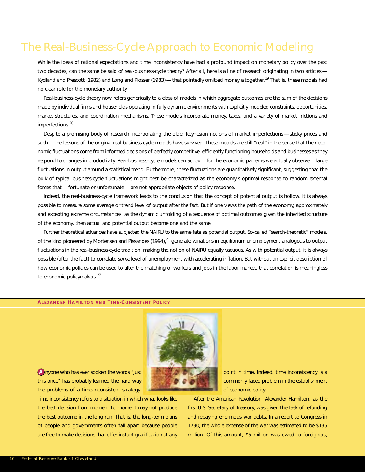# The Real-Business-Cycle Approach to Economic Modeling

While the ideas of rational expectations and time inconsistency have had a profound impact on monetary policy over the past two decades, can the same be said of real-business-cycle theory? After all, here is a line of research originating in two articles -Kydland and Prescott (1982) and Long and Plosser (1983) — that pointedly omitted money altogether.<sup>19</sup> That is, these models had no clear role for the monetary authority.

Real-business-cycle theory now refers generically to a class of models in which aggregate outcomes are the sum of the decisions made by individual firms and households operating in fully dynamic environments with explicitly modeled constraints, opportunities, market structures, and coordination mechanisms. These models incorporate money, taxes, and a variety of market frictions and imperfections.<sup>20</sup>

Despite a promising body of research incorporating the older Keynesian notions of market imperfections — sticky prices and such — the lessons of the original real-business-cycle models have survived. These models are still "real" in the sense that their economic fluctuations come from informed decisions of perfectly competitive, efficiently functioning households and businesses as they respond to changes in productivity. Real-business-cycle models can account for the economic patterns we actually observe — large fluctuations in output around a statistical trend. Furthermore, these fluctuations are quantitatively significant, suggesting that the bulk of typical business-cycle fluctuations might best be characterized as the economy's optimal response to random external forces that — fortunate or unfortunate — are not appropriate objects of policy response.

Indeed, the real-business-cycle framework leads to the conclusion that the concept of potential output is hollow. It is always possible to measure some average or trend level of output after the fact. But if one views the path of the economy, approximately and excepting extreme circumstances, as the dynamic unfolding of a sequence of optimal outcomes given the inherited structure of the economy, then actual and potential output become one and the same.

Further theoretical advances have subjected the NAIRU to the same fate as potential output. So-called "search-theoretic" models, of the kind pioneered by Mortensen and Pissarides (1994), $^{21}$  generate variations in equilibrium unemployment analogous to output fluctuations in the real-business-cycle tradition, making the notion of NAIRU equally vacuous. As with potential output, it is always possible (after the fact) to correlate some level of unemployment with accelerating inflation. But without an explicit description of how economic policies can be used to alter the matching of workers and jobs in the labor market, that correlation is meaningless to economic policymakers.<sup>22</sup>

### **ALEXANDER HAMILTON AND TIME-CONSISTENT POLICY**



Time inconsistency refers to a situation in which what looks like the best decision from moment to moment may not produce the best outcome in the long run. That is, the long-term plans of people and governments often fall apart because people are free to make decisions that offer instant gratification at any



After the American Revolution, Alexander Hamilton, as the first U.S. Secretary of Treasury, was given the task of refunding and repaying enormous war debts. In a report to Congress in 1790, the whole expense of the war was estimated to be \$135 million. Of this amount, \$5 million was owed to foreigners,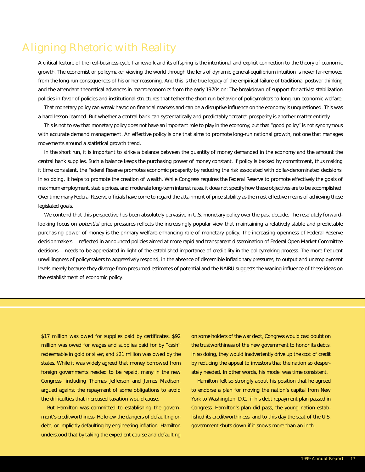# Aligning Rhetoric with Reality

A critical feature of the real-business-cycle framework and its offspring is the intentional and explicit connection to the theory of economic growth. The economist or policymaker viewing the world through the lens of dynamic general-equilibrium intuition is never far-removed from the long-run consequences of his or her reasoning. And this is the true legacy of the empirical failure of traditional postwar thinking and the attendant theoretical advances in macroeconomics from the early 1970s on: The breakdown of support for activist stabilization policies in favor of policies and institutional structures that tether the short-run behavior of policymakers to long-run economic welfare.

That monetary policy can wreak havoc on financial markets and can be a disruptive influence on the economy is unquestioned. This was a hard lesson learned. But whether a central bank can systematically and predictably "create" prosperity is another matter entirely.

This is not to say that monetary policy does not have an important role to play in the economy; but that "good policy" is not synonymous with accurate demand management. An effective policy is one that aims to promote long-run national growth, not one that manages movements around a statistical growth trend.

In the short run, it is important to strike a balance between the quantity of money demanded in the economy and the amount the central bank supplies. Such a balance keeps the purchasing power of money constant. If policy is backed by commitment, thus making it time consistent, the Federal Reserve promotes economic prosperity by reducing the risk associated with dollar-denominated decisions. In so doing, it helps to promote the creation of wealth. While Congress requires the Federal Reserve to promote effectively the goals of maximum employment, stable prices, and moderate long-term interest rates, it does not specify how these objectives are to be accomplished. Over time many Federal Reserve officials have come to regard the attainment of price stability as the most effective means of achieving these legislated goals.

We contend that this perspective has been absolutely pervasive in U.S. monetary policy over the past decade. The resolutely forwardlooking focus on *potential* price pressures reflects the increasingly popular view that maintaining a relatively stable and predictable purchasing power of money is the primary welfare-enhancing role of monetary policy. The increasing openness of Federal Reserve decisionmakers — reflected in announced policies aimed at more rapid and transparent dissemination of Federal Open Market Committee decisions — needs to be appreciated in light of the established importance of credibility in the policymaking process. The more frequent unwillingness of policymakers to aggressively respond, in the absence of discernible inflationary pressures, to output and unemployment levels merely because they diverge from presumed estimates of potential and the NAIRU suggests the waning influence of these ideas on the establishment of economic policy.

\$17 million was owed for supplies paid by certificates, \$92 million was owed for wages and supplies paid for by "cash" redeemable in gold or silver, and \$21 million was owed by the states. While it was widely agreed that money borrowed from foreign governments needed to be repaid, many in the new Congress, including Thomas Jefferson and James Madison, argued against the repayment of some obligations to avoid the difficulties that increased taxation would cause.

But Hamilton was committed to establishing the government's creditworthiness. He knew the dangers of defaulting on debt, or implicitly defaulting by engineering inflation. Hamilton understood that by taking the expedient course and defaulting on some holders of the war debt, Congress would cast doubt on the trustworthiness of the new government to honor its debts. In so doing, they would inadvertently drive up the cost of credit by reducing the appeal to investors that the nation so desperately needed. In other words, his model was time consistent.

Hamilton felt so strongly about his position that he agreed to endorse a plan for moving the nation's capital from New York to Washington, D.C., if his debt repayment plan passed in Congress. Hamilton's plan did pass, the young nation established its creditworthiness, and to this day the seat of the U.S. government shuts down if it snows more than an inch.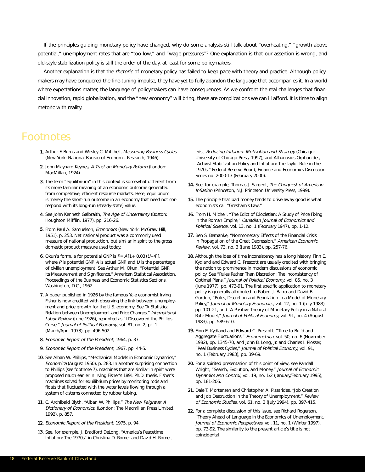If the principles guiding monetary policy have changed, why do some analysts still talk about "overheating," "growth above potential," unemployment rates that are "too low," and "wage pressures"? One explanation is that our assertion is wrong, and old-style stabilization policy is still the order of the day, at least for some policymakers.

Another explanation is that the *rhetoric* of monetary policy has failed to keep pace with theory and practice. Although policymakers may have conquered the fine-tuning impulse, they have yet to fully abandon the language that accompanies it. In a world where expectations matter, the language of policymakers can have consequences. As we confront the real challenges that financial innovation, rapid globalization, and the "new economy" will bring, these are complications we can ill afford. It is time to align rhetoric with reality.

### Footnotes

- 1. Arthur F. Burns and Wesley C. Mitchell, Measuring Business Cycles (New York: National Bureau of Economic Research, 1946).
- 2. John Maynard Keynes, A Tract on Monetary Reform (London: MacMillan, 1924).
- 3. The term "equilibrium" in this context is somewhat different from its more familiar meaning of an economic outcome generated from competitive, efficient resource markets. Here, equilibrium is merely the short-run outcome in an economy that need not correspond with its long-run (steady-state) value.
- 4. See John Kenneth Galbraith, The Age of Uncertainty (Boston: Houghton Mifflin, 1977), pp. 216-26.
- 5. From Paul A. Samuelson, Economics (New York: McGraw Hill, 1951), p. 253. Net national product was a commonly used measure of national production, but similar in spirit to the gross domestic product measure used today.
- **6.** Okun's formula for potential GNP is  $P = A[1 + 0.03 (U-4)],$ where  $P$  is potential GNP,  $A$  is actual GNP, and  $U$  is the percentage of civilian unemployment. See Arthur M. Okun, "Potential GNP: Its Measurement and Significance," American Statistical Association, Proceedings of the Business and Economic Statistics Sections, Washington, D.C., 1962.
- 7. A paper published in 1926 by the famous Yale economist Irving Fisher is now credited with observing the link between unemployment and price growth for the U.S. economy. See "A Statistical Relation between Unemployment and Price Changes," International Labor Review (June 1926), reprinted as "I Discovered the Phillips Curve," Journal of Political Economy, vol. 81, no. 2, pt. 1 (March/April 1973), pp. 496-502.
- 8. Economic Report of the President, 1964, p. 37.
- 9. Economic Report of the President, 1967, pp. 44-5.
- 10. See Alban W. Phillips, "Mechanical Models in Economic Dynamics," Economica (August 1950), p. 283. In another surprising connection to Phillips (see footnote 7), machines that are similar in spirit were proposed much earlier in Irving Fisher's 1891 Ph.D. thesis. Fisher's machines solved for equilibrium prices by monitoring rods and floats that fluctuated with the water levels flowing through a system of cisterns connected by rubber tubing.
- 11. C. Archibald Blyth, "Alban W. Phillips," The New Palgrave: A Dictionary of Economics, (London: The Macmillan Press Limited, 1992), p. 857.
- 12. Economic Report of the President, 1975, p. 94.
- 13. See, for example, J. Bradford DeLong, "America's Peacetime Inflation: The 1970s" in Christina D. Romer and David H. Romer,

eds., Reducing Inflation: Motivation and Strategy (Chicago: University of Chicago Press, 1997); and Athanasios Orphanides, "Activist Stabilization Policy and Inflation: The Taylor Rule in the 1970s," Federal Reserve Board, Finance and Economics Discussion Series no. 2000-13 (February 2000).

- 14. See, for example, Thomas J. Sargent, The Conquest of American Inflation (Princeton, N.J: Princeton University Press, 1999).
- 15. The principle that bad money tends to drive away good is what economists call "Gresham's Law."
- 16. From H. Michell, "The Edict of Diocletian: A Study of Price Fixing in the Roman Empire," Canadian Journal of Economics and Political Science, vol. 13, no. 1 (February 1947), pp. 1-12.
- 17. Ben S. Bernanke, "Nonmonetary Effects of the Financial Crisis in Propagation of the Great Depression," American Economic Review, vol. 73, no. 3 (June 1983), pp. 257-76.
- 18. Although the idea of time inconsistency has a long history, Finn E. Kydland and Edward C. Prescott are usually credited with bringing the notion to prominence in modern discussions of economic policy. See "Rules Rather Than Discretion: The Inconsistency of Optimal Plans," Journal of Political Economy, vol. 85, no. 3 (June 1977), pp. 473-91. The first specific application to monetary policy is generally attributed to Robert J. Barro and David B. Gordon, "Rules, Discretion and Reputation in a Model of Monetary Policy," Journal of Monetary Economics, vol. 12, no. 1 (July 1983), pp. 101-21, and "A Positive Theory of Monetary Policy in a Natural Rate Model," Journal of Political Economy, vol. 91, no. 4 (August 1983), pp. 589-610.
- 19. Finn E. Kydland and Edward C. Prescott, "Time to Build and Aggregate Fluctuations," Econometrica, vol. 50, no. 6 (November 1982), pp. 1345-70, and John B. Long, Jr. and Charles I. Plosser, "Real Business Cycles," Journal of Political Economy, vol. 91, no. 1 (February 1983), pp. 39-69.
- 20. For a spirited presentation of this point of view, see Randall Wright, "Search, Evolution, and Money," Journal of Economic Dynamics and Control, vol. 19, no. 1/2 (January/February 1995), pp. 181-206.
- 21. Dale T. Mortensen and Christopher A. Pissarides, "Job Creation and Job Destruction in the Theory of Unemployment," Review of Economic Studies, vol. 61, no. 3 (July 1994), pp. 397-415.
- 22. For a complete discussion of this issue, see Richard Rogerson, "Theory Ahead of Language in the Economics of Unemployment," Journal of Economic Perspectives, vol. 11, no. 1 (Winter 1997), pp. 73-92. The similarity to the present article's title is not coincidental.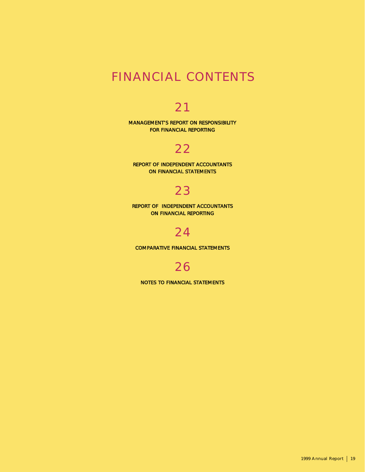# FINANCIAL CONTENTS

# 21

MANAGEMENT'S REPORT ON RESPONSIBILITY FOR FINANCIAL REPORTING

# 22

REPORT OF INDEPENDENT ACCOUNTANTS ON FINANCIAL STATEMENTS

# 23

REPORT OF INDEPENDENT ACCOUNTANTS ON FINANCIAL REPORTING

### 24

COMPARATIVE FINANCIAL STATEMENTS

## 26

NOTES TO FINANCIAL STATEMENTS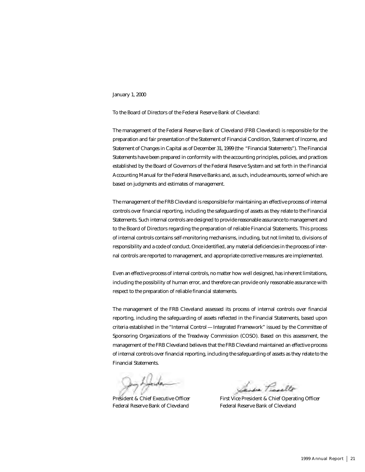### January 1, 2000

To the Board of Directors of the Federal Reserve Bank of Cleveland:

The management of the Federal Reserve Bank of Cleveland (FRB Cleveland) is responsible for the preparation and fair presentation of the Statement of Financial Condition, Statement of Income, and Statement of Changes in Capital as of December 31, 1999 (the "Financial Statements"). The Financial Statements have been prepared in conformity with the accounting principles, policies, and practices established by the Board of Governors of the Federal Reserve System and set forth in the Financial Accounting Manual for the Federal Reserve Banks and, as such, include amounts, some of which are based on judgments and estimates of management.

The management of the FRB Cleveland is responsible for maintaining an effective process of internal controls over financial reporting, including the safeguarding of assets as they relate to the Financial Statements. Such internal controls are designed to provide reasonable assurance to management and to the Board of Directors regarding the preparation of reliable Financial Statements. This process of internal controls contains self-monitoring mechanisms, including, but not limited to, divisions of responsibility and a code of conduct. Once identified, any material deficiencies in the process of internal controls are reported to management, and appropriate corrective measures are implemented.

Even an effective process of internal controls, no matter how well designed, has inherent limitations, including the possibility of human error, and therefore can provide only reasonable assurance with respect to the preparation of reliable financial statements.

The management of the FRB Cleveland assessed its process of internal controls over financial reporting, including the safeguarding of assets reflected in the Financial Statements, based upon criteria established in the "Internal Control — Integrated Framework" issued by the Committee of Sponsoring Organizations of the Treadway Commission (COSO). Based on this assessment, the management of the FRB Cleveland believes that the FRB Cleveland maintained an effective process of internal controls over financial reporting, including the safeguarding of assets as they relate to the Financial Statements.

Sailor Presilto

President & Chief Executive Officer First Vice President & Chief Operating Officer Federal Reserve Bank of Cleveland Federal Reserve Bank of Cleveland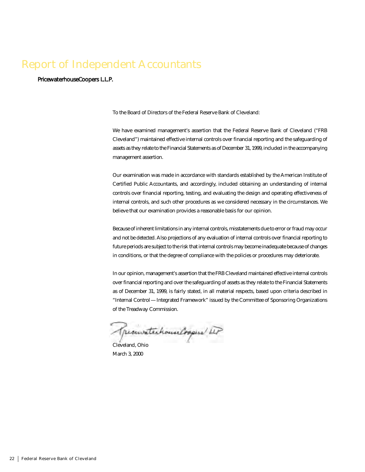# Report of Independent Accountants

PricewaterhouseCoopers L.L.P.

To the Board of Directors of the Federal Reserve Bank of Cleveland:

We have examined management's assertion that the Federal Reserve Bank of Cleveland ("FRB Cleveland") maintained effective internal controls over financial reporting and the safeguarding of assets as they relate to the Financial Statements as of December 31, 1999, included in the accompanying management assertion.

Our examination was made in accordance with standards established by the American Institute of Certified Public Accountants, and accordingly, included obtaining an understanding of internal controls over financial reporting, testing, and evaluating the design and operating effectiveness of internal controls, and such other procedures as we considered necessary in the circumstances. We believe that our examination provides a reasonable basis for our opinion.

Because of inherent limitations in any internal controls, misstatements due to error or fraud may occur and not be detected. Also projections of any evaluation of internal controls over financial reporting to future periods are subject to the risk that internal controls may become inadequate because of changes in conditions, or that the degree of compliance with the policies or procedures may deteriorate.

In our opinion, management's assertion that the FRB Cleveland maintained effective internal controls over financial reporting and over the safeguarding of assets as they relate to the Financial Statements as of December 31, 1999, is fairly stated, in all material respects, based upon criteria described in "Internal Control — Integrated Framework" issued by the Committee of Sponsoring Organizations of the Treadway Commission.

Treseuratechouse Coopies/LP

Cleveland, Ohio March 3, 2000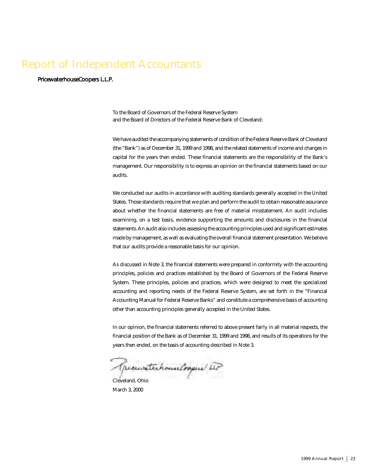# Report of Independent Accountants

PricewaterhouseCoopers L.L.P.

To the Board of Governors of the Federal Reserve System and the Board of Directors of the Federal Reserve Bank of Cleveland:

We have audited the accompanying statements of condition of the Federal Reserve Bank of Cleveland (the "Bank") as of December 31, 1999 and 1998, and the related statements of income and changes in capital for the years then ended. These financial statements are the responsibility of the Bank's management. Our responsibility is to express an opinion on the financial statements based on our audits.

We conducted our audits in accordance with auditing standards generally accepted in the United States. Those standards require that we plan and perform the audit to obtain reasonable assurance about whether the financial statements are free of material misstatement. An audit includes examining, on a test basis, evidence supporting the amounts and disclosures in the financial statements. An audit also includes assessing the accounting principles used and significant estimates made by management, as well as evaluating the overall financial statement presentation. We believe that our audits provide a reasonable basis for our opinion.

As discussed in Note 3, the financial statements were prepared in conformity with the accounting principles, policies and practices established by the Board of Governors of the Federal Reserve System. These principles, policies and practices, which were designed to meet the specialized accounting and reporting needs of the Federal Reserve System, are set forth in the "Financial Accounting Manual for Federal Reserve Banks" and constitute a comprehensive basis of accounting other than accounting principles generally accepted in the United States.

In our opinion, the financial statements referred to above present fairly in all material respects, the financial position of the Bank as of December 31, 1999 and 1998, and results of its operations for the years then ended, on the basis of accounting described in Note 3.

pecunitationalogue 4P

Cleveland, Ohio March 3, 2000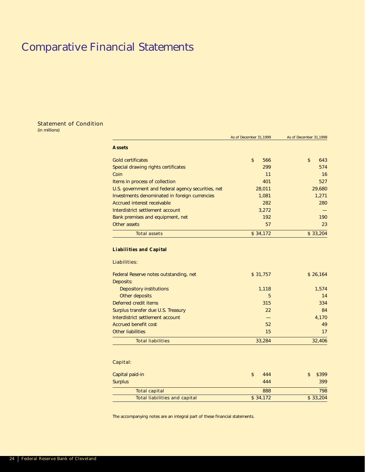# Comparative Financial Statements

### Statement of Condition

(in millions)

|                                                    | As of December 31,1999    | As of December 31,1998 |
|----------------------------------------------------|---------------------------|------------------------|
| <b>Assets</b>                                      |                           |                        |
| <b>Gold certificates</b>                           | \$<br>566                 | $\mathfrak{S}$<br>643  |
| Special drawing rights certificates                | 299                       | 574                    |
| Coin                                               | 11                        | 16                     |
| Items in process of collection                     | 401                       | 527                    |
| U.S. government and federal agency securities, net | 28,011                    | 29,680                 |
| Investments denominated in foreign currencies      | 1,081                     | 1,271                  |
| <b>Accrued interest receivable</b>                 | 282                       | 280                    |
| Interdistrict settlement account                   | 3,272                     |                        |
| Bank premises and equipment, net                   | 192                       | 190                    |
| Other assets                                       | 57                        | 23                     |
| <b>Total assets</b>                                | \$34,172                  | \$33,204               |
|                                                    |                           |                        |
| <b>Liabilities:</b>                                |                           |                        |
| Federal Reserve notes outstanding, net             | \$31,757                  | \$26,164               |
| Deposits:                                          |                           |                        |
| <b>Depository institutions</b>                     | 1,118                     | 1,574                  |
| Other deposits                                     | 5                         | 14                     |
| Deferred credit items                              | 315                       | 334                    |
| Surplus transfer due U.S. Treasury                 | 22                        | 84                     |
| Interdistrict settlement account                   |                           | 4,170                  |
| <b>Accrued benefit cost</b>                        | 52                        | 49                     |
| <b>Other liabilities</b>                           | 15                        | 17                     |
| <b>Total liabilities</b>                           | 33,284                    | 32,406                 |
|                                                    |                           |                        |
| Capital:<br>Capital paid-in                        | $\mathbf{\hat{S}}$<br>444 | \$399<br>S.            |

| Capital paid-in                      | 444      | \$399    |
|--------------------------------------|----------|----------|
| <b>Surplus</b>                       | 444      | 399      |
| <b>Total capital</b>                 | 888      | 798      |
| <b>Total liabilities and capital</b> | \$34.172 | \$33.204 |

The accompanying notes are an integral part of these financial statements.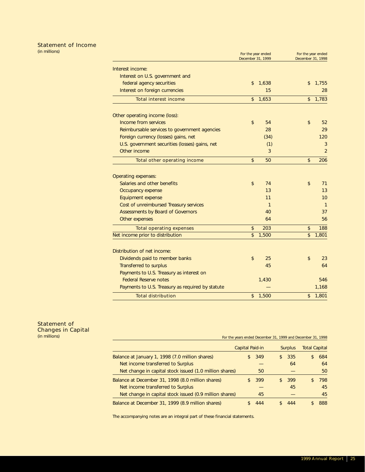### Statement of Income

(in millions)

|                                                  | For the year ended<br>December 31, 1999 |       | For the year ended<br>December 31, 1998 |                |
|--------------------------------------------------|-----------------------------------------|-------|-----------------------------------------|----------------|
| Interest income:                                 |                                         |       |                                         |                |
| Interest on U.S. government and                  |                                         |       |                                         |                |
| federal agency securities                        | \$                                      | 1,638 | \$                                      | 1,755          |
| Interest on foreign currencies                   |                                         | 15    |                                         | 28             |
| <b>Total interest income</b>                     | \$                                      | 1,653 | \$                                      | 1,783          |
| Other operating income (loss):                   |                                         |       |                                         |                |
| Income from services                             | \$                                      | 54    | \$                                      | 52             |
| Reimbursable services to government agencies     |                                         | 28    |                                         | 29             |
| Foreign currency (losses) gains, net             |                                         | (34)  |                                         | 120            |
| U.S. government securities (losses) gains, net   |                                         | (1)   |                                         | 3              |
| Other income                                     |                                         | 3     |                                         | $\overline{2}$ |
| <b>Total other operating income</b>              | \$                                      | 50    | \$                                      | 206            |
|                                                  |                                         |       |                                         |                |
| <b>Operating expenses:</b>                       |                                         |       |                                         |                |
| Salaries and other benefits                      | \$                                      | 74    | \$                                      | 71             |
| Occupancy expense                                |                                         | 13    |                                         | 13             |
| <b>Equipment expense</b>                         |                                         | 11    |                                         | 10             |
| Cost of unreimbursed Treasury services           |                                         | 1     |                                         | $\mathbf{1}$   |
| <b>Assessments by Board of Governors</b>         |                                         | 40    |                                         | 37             |
| Other expenses                                   |                                         | 64    |                                         | 56             |
| <b>Total operating expenses</b>                  | \$                                      | 203   | \$                                      | 188            |
| Net income prior to distribution                 | \$                                      | 1,500 | \$                                      | 1,801          |
| Distribution of net income:                      |                                         |       |                                         |                |
| Dividends paid to member banks                   | \$                                      | 25    | \$                                      | 23             |
| <b>Transferred to surplus</b>                    |                                         | 45    |                                         | 64             |
| Payments to U.S. Treasury as interest on         |                                         |       |                                         |                |
| <b>Federal Reserve notes</b>                     |                                         | 1,430 |                                         | 546            |
| Payments to U.S. Treasury as required by statute |                                         |       |                                         | 1,168          |
| <b>Total distribution</b>                        | \$                                      | 1,500 | \$                                      | 1,801          |

### Statement of Changes in Capital (in millions)

|                                                         | For the years ended December 31, 1999 and December 31, 1998 |     |     |                |                      |     |
|---------------------------------------------------------|-------------------------------------------------------------|-----|-----|----------------|----------------------|-----|
|                                                         | Capital Paid-in                                             |     |     | <b>Surplus</b> | <b>Total Capital</b> |     |
| Balance at January 1, 1998 (7.0 million shares)         |                                                             | 349 | \$  | 335            | \$                   | 684 |
| Net income transferred to Surplus                       |                                                             |     |     | 64             |                      | 64  |
| Net change in capital stock issued (1.0 million shares) |                                                             | 50  |     |                |                      | 50  |
| Balance at December 31, 1998 (8.0 million shares)       |                                                             | 399 | \$. | 399            |                      | 798 |
| Net income transferred to Surplus                       |                                                             |     |     | 45             |                      | 45  |
| Net change in capital stock issued (0.9 million shares) |                                                             | 45  |     |                |                      | 45  |
| Balance at December 31, 1999 (8.9 million shares)       |                                                             | 444 |     | 444            |                      | 888 |

The accompanying notes are an integral part of these financial statements.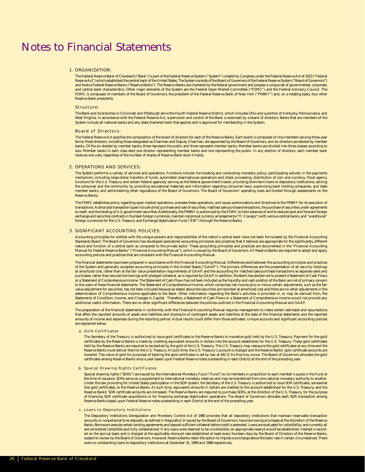### Notes to Financial Statements

#### 1. ORGANIZATION:

The Federal Reserve Bank of Cleveland ("Bank") is part of the Federal Reserve System ("System") created by Congress under the Federal Reserve Act of 1913 ("Federal Reserve Act") which established the central bank of the United States. The System consists of the Board of Governors of the Federal Reserve System ("Board of Governors") and twelve Federal Reserve Banks ("Reserve Banks"). The Reserve Banks are chartered by the federal government and possess a unique set of governmental, corporate, and central bank characteristics. Other major elements of the System are the Federal Open Market Committee ("FOMC") and the Federal Advisory Council. The FOMC is composed of members of the Board of Governors, the president of the Federal Reserve Bank of New York ("FRBNY") and, on a rotating basis, four other Reserve Bank presidents.

### Structure:

The Bank and its branches in Cincinnati and Pittsburgh serve the Fourth Federal Reserve District, which includes Ohio and a portion of Kentucky, Pennsylvania, and West Virginia. In accordance with the Federal Reserve Act, supervision and control of the Bank is exercised by a board of directors. Banks that are members of the System include all national banks and any state chartered bank that applies and is approved for membership in the System.

#### Board of Directors:

The Federal Reserve Act specifies the composition of the board of directors for each of the Reserve Banks. Each board is composed of nine members serving three-year terms: three directors, including those designated as Chairman and Deputy Chairman, are appointed by the Board of Governors, and six directors are elected by member banks. Of the six elected by member banks, three represent the public and three represent member banks. Member banks are divided into three classes according to size. Member banks in each class elect one director representing member banks and one representing the public. In any election of directors, each member bank receives one vote, regardless of the number of shares of Reserve Bank stock it holds.

### 2. OPERATIONS AND SERVICES:

The System performs a variety of services and operations. Functions include: formulating and conducting monetary policy; participating actively in the payments mechanism, including large-dollar transfers of funds, automated clearinghouse operations and check processing; distribution of coin and currency; fiscal agency functions for the U.S. Treasury and certain federal agencies; serving as the federal government's bank; providing short-term loans to depository institutions; serving the consumer and the community by providing educational materials and information regarding consumer laws; supervising bank holding companies, and state member banks; and administering other regulations of the Board of Governors. The Board of Governors' operating costs are funded through assessments on the Reserve Banks.

The FOMC establishes policy regarding open market operations, oversees these operations, and issues authorizations and directives to the FRBNY for its execution of transactions. Authorized transaction types include direct purchase and sale of securities, matched sale-purchase transactions, the purchase of securities under agreements to resell, and the lending of U.S. government securities. Additionally, the FRBNY is authorized by the FOMC to hold balances of and to execute spot and forward foreign exchange and securities contracts in fourteen foreign currencies, maintain reciprocal currency arrangements ("F/X swaps") with various central banks, and "warehouse" foreign currencies for the U.S. Treasury and Exchange Stabilization Fund ("ESF") through the Reserve Banks.

#### 3. SIGNIFICANT ACCOUNTING POLICIES:

Accounting principles for entities with the unique powers and responsibilities of the nation's central bank have not been formulated by the Financial Accounting Standards Board. The Board of Governors has developed specialized accounting principles and practices that it believes are appropriate for the significantly different nature and function of a central bank as compared to the private sector. These accounting principles and practices are documented in the "Financial Accounting<br>Manual for Federal Reserve Banks" ("Financial Accounting Manual accounting policies and practices that are consistent with the Financial Accounting Manual.

The financial statements have been prepared in accordance with the Financial Accounting Manual. Differences exist between the accounting principles and practices of the System and generally accepted accounting principles in the United States ("GAAP"). The primary differences are the presentation of all security holdings at amortized cost, rather than at the fair value presentation requirements of GAAP, and the accounting for matched sale-purchase transactions as separate sales and purchases, rather than secured borrowings with pledged collateral, as is required by GAAP. In addition, the Bank has elected not to present a Statement of Cash Flows or a Statement of Comprehensive Income. The Statement of Cash Flows has not been included as the liquidity and cash position of the Bank are not of primary concern to the users of these financial statements. The Statement of Comprehensive Income, which comprises net income plus or minus certain adjustments, such as the fair value adjustment for securities, has not been included because as stated above the securities are recorded at amortized cost and there are no other adjustments in the determination of Comprehensive Income applicable to the Bank. Other information regarding the Bank's activities is provided in, or may be derived from, the Statements of Condition, Income, and Changes in Capital. Therefore, a Statement of Cash Flows or a Statement of Comprehensive Income would not provide any additional useful information. There are no other significant differences between the policies outlined in the Financial Accounting Manual and GAAP.

The preparation of the financial statements in conformity with the Financial Accounting Manual requires management to make certain estimates and assumptions that affect the reported amounts of assets and liabilities and disclosure of contingent assets and liabilities at the date of the financial statements and the reported amounts of income and expenses during the reporting period. Actual results could differ from those estimates. Unique accounts and significant accounting policies are explained below.

#### a. Gold Certificates

The Secretary of the Treasury is authorized to issue gold certificates to the Reserve Banks to monetize gold held by the U.S. Treasury. Payment for the gold certificates by the Reserve Banks is made by crediting equivalent amounts in dollars into the account established for the U.S. Treasury. These gold certificates held by the Reserve Banks are required to be backed by the gold of the U.S. Treasury. The U.S. Treasury may reacquire the gold certificates at any time and the Reserve Banks must deliver them to the U.S. Treasury. At such time, the U.S. Treasury's account is charged and the Reserve Banks' gold certificate accounts are lowered. The value of gold for purposes of backing the gold certificates is set by law at \$42 2/9 a fine troy ounce. The Board of Governors allocates the gold certificates among Reserve Banks once a year based upon Federal Reserve notes outstanding in each District at the end of the preceding year.

#### b. Special Drawing Rights Certificates

Special drawing rights ("SDRs") are issued by the International Monetary Fund ("Fund") to its members in proportion to each member's quota in the Fund at the time of issuance. SDRs serve as a supplement to international monetary reserves and may be transferred from one national monetary authority to another. Under the law providing for United States participation in the SDR system, the Secretary of the U.S. Treasury is authorized to issue SDR certificates, somewhat like gold certificates, to the Reserve Banks. At such time, equivalent amounts in dollars are credited to the account established for the U.S. Treasury, and the Reserve Banks' SDR certificate accounts are increased. The Reserve Banks are required to purchase SDRs, at the direction of the U.S. Treasury, for the purpose of financing SDR certificate acquisitions or for financing exchange stabilization operations. The Board of Governors allocates each SDR transaction among Reserve Banks based upon Federal Reserve notes outstanding in each District at the end of the preceding year.

#### c. Loans to Depository Institutions

The Depository Institutions Deregulation and Monetary Control Act of 1980 provides that all depository institutions that maintain reservable transaction accounts or nonpersonal time deposits, as defined in Regulation D issued by the Board of Governors, have borrowing privileges at the discretion of the Reserve Banks. Borrowers execute certain lending agreements and deposit sufficient collateral before credit is extended. Loans are evaluated for collectibility, and currently all are considered collectible and fully collateralized. If any loans were deemed to be uncollectible, an appropriate reserve would be established. Interest is recorded on the accrual basis and is charged at the applicable discount rate established at least every fourteen days by the Board of Directors of the Reserve Banks, subject to review by the Board of Governors. However, Reserve Banks retain the option to impose a surcharge above the basic rate in certain circumstances. There were no outstanding loans to depository institutions at December 31, 1999 and 1998 respectively.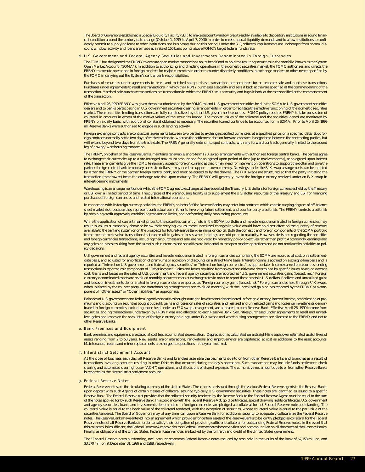The Board of Governors established a Special Liquidity Facility (SLF) to make discount window credit readily available to depository institutions in sound financial condition around the century date change (October 1, 1999, to April 7, 2000) in order to meet unusual liquidity demands and to allow institutions to confidently commit to supplying loans to other institutions and businesses during this period. Under the SLF, collateral requirements are unchanged from normal discount window activity and loans are made at a rate of 150 basis points above FOMC's target federal funds rate.

#### d. U.S. Government and Federal Agency Securities and Investments Denominated in Foreign Currencies

The FOMC has designated the FRBNY to execute open market transactions on its behalf and to hold the resulting securities in the portfolio known as the System Open Market Account ("SOMA"). In addition to authorizing and directing operations in the domestic securities market, the FOMC authorizes and directs the<br>FRBNY to execute operations in foreign markets for major currencies i the FOMC in carrying out the System's central bank responsibilities.

Purchases of securities under agreements to resell and matched sale-purchase transactions are accounted for as separate sale and purchase transactions. Purchases under agreements to resell are transactions in which the FRBNY purchases a security and sells it back at the rate specified at the commencement of the transaction. Matched sale-purchase transactions are transactions in which the FRBNY sells a security and buys it back at the rate specified at the commencement of the transaction.

Effective April 26, 1999 FRBNY was given the sole authorization by the FOMC to lend U.S. government securities held in the SOMA to U.S. government securities dealers and to banks participating in U.S. government securities clearing arrangements, in order to facilitate the effective functioning of the domestic securities market. These securities-lending transactions are fully collateralized by other U.S. government securities. FOMC policy requires FRBNY to take possession of collateral in amounts in excess of the market values of the securities loaned. The market values of the collateral and the securities loaned are monitored by FRBNY on a daily basis, with additional collateral obtained as necessary. The securities loaned continue to be accounted for in SOMA. Prior to April 26, 1999 all Reserve Banks were authorized to engage in such lending activity.

Foreign exchange contracts are contractual agreements between two parties to exchange specified currencies, at a specified price, on a specified date. Spot foreign contracts normally settle two days after the trade date, whereas the settlement date on forward contracts is negotiated between the contracting parties, but will extend beyond two days from the trade date. The FRBNY generally enters into spot contracts, with any forward contracts generally limited to the second leg of a swap/warehousing transaction.

The FRBNY, on behalf of the Reserve Banks, maintains renewable, short-term F/X swap arrangements with authorized foreign central banks. The parties agree to exchange their currencies up to a pre-arranged maximum amount and for an agreed upon period of time (up to twelve months), at an agreed upon interest rate. These arrangements give the FOMC temporary access to foreign currencies that it may need for intervention operations to support the dollar and give the partner foreign central bank temporary access to dollars it may need to support its own currency. Drawings under the F/X swap arrangements can be initiated by either the FRBNY or the partner foreign central bank, and must be agreed to by the drawee. The F/X swaps are structured so that the party initiating the transaction (the drawer) bears the exchange rate risk upon maturity. The FRBNY will generally invest the foreign currency received under an F/X swap in interest-bearing instruments.

Warehousing is an arrangement under which the FOMC agrees to exchange, at the request of the Treasury, U.S. dollars for foreign currencies held by the Treasury or ESF over a limited period of time. The purpose of the warehousing facility is to supplement the U.S. dollar resources of the Treasury and ESF for financing purchases of foreign currencies and related international operations.

In connection with its foreign currency activities, the FRBNY, on behalf of the Reserve Banks, may enter into contracts which contain varying degrees of off-balance sheet market risk, because they represent contractual commitments involving future settlement, and counter-party credit risk. The FRBNY controls credit risk by obtaining credit approvals, establishing transaction limits, and performing daily monitoring procedures.

While the application of current market prices to the securities currently held in the SOMA portfolio and investments denominated in foreign currencies may result in values substantially above or below their carrying values, these unrealized changes in value would have no direct effect on the quantity of reserves available to the banking system or on the prospects for future Reserve Bank earnings or capital. Both the domestic and foreign components of the SOMA portfolio from time to time involve transactions that can result in gains or losses when holdings are sold prior to maturity. However, decisions regarding the securities and foreign currencies transactions, including their purchase and sale, are motivated by monetary policy objectives rather than profit. Accordingly, earnings and any gains or losses resulting from the sale of such currencies and securities are incidental to the open market operations and do not motivate its activities or policy decisions.

U.S. government and federal agency securities and investments denominated in foreign currencies comprising the SOMA are recorded at cost, on a settlementdate basis, and adjusted for amortization of premiums or accretion of discounts on a straight-line basis. Interest income is accrued on a straight-line basis and is reported as "Interest on U.S. government and federal agency securities" or "Interest on foreign currencies," as appropriate. Income earned on securities lending transactions is reported as a component of "Other income." Gains and losses resulting from sales of securities are determined by specific issues based on average cost. Gains and losses on the sales of U.S. government and federal agency securities are reported as "U.S. government securities gains (losses), net." Foreign currency denominated assets are revalued monthly at current market exchange rates in order to report these assets in U.S. dollars. Realized and unrealized gains and losses on investments denominated in foreign currencies are reported as "Foreign currency gains (losses), net." Foreign currencies held through F/X swaps, when initiated by the counter party, and warehousing arrangements are revalued monthly, with the unrealized gain or loss reported by the FRBNY as a component of "Other assets" or "Other liabilities," as appropriate.

Balances of U.S. government and federal agencies securities bought outright, investments denominated in foreign currency, interest income, amortization of premiums and discounts on securities bought outright, gains and losses on sales of securities, and realized and unrealized gains and losses on investments denominated in foreign currencies, excluding those held under an F/X swap arrangement, are allocated to each Reserve Bank. Effective April 26, 1999 income from securities lending transactions undertaken by FRBNY was also allocated to each Reserve Bank. Securities purchased under agreements to resell and unrealized gains and losses on the revaluation of foreign currency holdings under F/X swaps and warehousing arrangements are allocated to the FRBNY and not to other Reserve Banks.

#### e. Bank Premises and Equipment

Bank premises and equipment are stated at cost less accumulated depreciation. Depreciation is calculated on a straight-line basis over estimated useful lives of assets ranging from 2 to 50 years. New assets, major alterations, renovations and improvements are capitalized at cost as additions to the asset accounts. Maintenance, repairs and minor replacements are charged to operations in the year incurred.

#### f. Interdistrict Settlement Account

At the close of business each day, all Reserve Banks and branches assemble the payments due to or from other Reserve Banks and branches as a result of transactions involving accounts residing in other Districts that occurred during the day's operations. Such transactions may include funds settlement, check clearing and automated clearinghouse ("ACH") operations, and allocations of shared expenses. The cumulative net amount due to or from other Reserve Banks is reported as the "Interdistrict settlement account."

#### g. Federal Reserve Notes

Federal Reserve notes are the circulating currency of the United States. These notes are issued through the various Federal Reserve agents to the Reserve Banks upon deposit with such Agents of certain classes of collateral security, typically U.S. government securities. These notes are identified as issued to a specific Reserve Bank. The Federal Reserve Act provides that the collateral security tendered by the Reserve Bank to the Federal Reserve Agent must be equal to the sum of the notes applied for by such Reserve Bank. In accordance with the Federal Reserve Act, gold certificates, special drawing rights certificates, U.S. government and agency securities, loans, and investments denominated in foreign currencies are pledged as collateral for net Federal Reserve notes outstanding. The collateral value is equal to the book value of the collateral tendered, with the exception of securities, whose collateral value is equal to the par value of the securities tendered. The Board of Governors may, at any time, call upon a Reserve Bank for additional security to adequately collateralize the Federal Reserve notes. The Reserve Banks have entered into an agreement which provides for certain assets of the Reserve Banks to be jointly pledged as collateral for the Federal Reserve notes of all Reserve Banks in order to satisfy their obligation of providing sufficient collateral for outstanding Federal Reserve notes. In the event that this collateral is insufficient, the Federal Reserve Act provides that Federal Reserve notes become a first and paramount lien on all the assets of the Reserve Banks. Finally, as obligations of the United States, Federal Reserve notes are backed by the full faith and credit of the United States government.

The "Federal Reserve notes outstanding, net" account represents Federal Reserve notes reduced by cash held in the vaults of the Bank of \$7,158 million, and \$3,370 million at December 31, 1999 and 1998, respectively.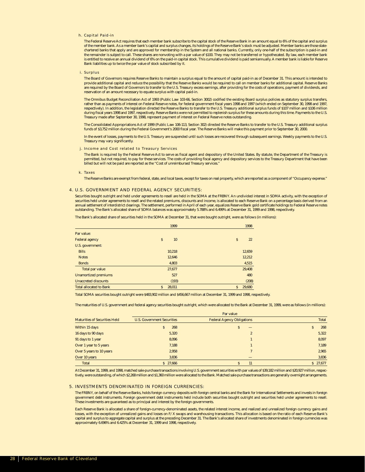#### h. Capital Paid-in

The Federal Reserve Act requires that each member bank subscribe to the capital stock of the Reserve Bank in an amount equal to 6% of the capital and surplus of the member bank. As a member bank's capital and surplus changes, its holdings of the Reserve Bank's stock must be adjusted. Member banks are those statechartered banks that apply and are approved for membership in the System and all national banks. Currently, only one-half of the subscription is paid-in and the remainder is subject to call. These shares are nonvoting with a par value of \$100. They may not be transferred or hypothecated. By law, each member bank is entitled to receive an annual dividend of 6% on the paid-in capital stock. This cumulative dividend is paid semiannually. A member bank is liable for Reserve Bank liabilities up to twice the par value of stock subscribed by it.

#### i. Surplus

The Board of Governors requires Reserve Banks to maintain a surplus equal to the amount of capital paid-in as of December 31. This amount is intended to provide additional capital and reduce the possibility that the Reserve Banks would be required to call on member banks for additional capital. Reserve Banks are required by the Board of Governors to transfer to the U.S. Treasury excess earnings, after providing for the costs of operations, payment of dividends, and reservation of an amount necessary to equate surplus with capital paid-in.

The Omnibus Budget Reconciliation Act of 1993 (Public Law 103-66, Section 3002) codified the existing Board surplus policies as statutory surplus transfers, rather than as payments of interest on Federal Reserve notes, for federal government fiscal years 1998 and 1997 (which ended on September 30, 1998 and 1997, respectively). In addition, the legislation directed the Reserve Banks to transfer to the U.S. Treasury additional surplus funds of \$107 million and \$106 million during fiscal years 1998 and 1997, respectively. Reserve Banks were not permitted to replenish surplus for these amounts during this time. Payments to the U.S. Treasury made after September 30, 1998, represent payment of interest on Federal Reserve notes outstanding.

The Consolidated Appropriations Act of 1999 (Public Law 106-113, Section 302) directed the Reserve Banks to transfer to the U.S. Treasury additional surplus funds of \$3,752 million during the Federal Government's 2000 fiscal year. The Reserve Banks will make this payment prior to September 30, 2000.

In the event of losses, payments to the U.S. Treasury are suspended until such losses are recovered through subsequent earnings. Weekly payments to the U.S. Treasury may vary significantly.

#### j. Income and Cost related to Treasury Services

The Bank is required by the Federal Reserve Act to serve as fiscal agent and depository of the United States. By statute, the Department of the Treasury is permitted, but not required, to pay for these services. The costs of providing fiscal agency and depository services to the Treasury Department that have been billed but will not be paid are reported as the "Cost of unreimbursed Treasury services.

#### k. Taxes

The Reserve Banks are exempt from federal, state, and local taxes, except for taxes on real property, which are reported as a component of "Occupancy expense."

### 4. U.S. GOVERNMENT AND FEDERAL AGENCY SECURITIES:

Securities bought outright and held under agreements to resell are held in the SOMA at the FRBNY. An undivided interest in SOMA activity, with the exception of securities held under agreements to resell and the related premiums, discounts and income, is allocated to each Reserve Bank on a percentage basis derived from an annual settlement of interdistrict clearings. The settlement, performed in April of each year, equalizes Reserve Bank gold certificate holdings to Federal Reserve notes outstanding. The Bank's allocated share of SOMA balances was approximately 5.788% and 6.499% at December 31, 1999 and 1998, respectively.

The Bank's allocated share of securities held in the SOMA at December 31, that were bought outright, were as follows (in millions):

|                                | 1999        | 1998        |
|--------------------------------|-------------|-------------|
| Par value:                     |             |             |
| <b>Federal agency</b>          | S<br>10     | S<br>22     |
| U.S. government:               |             |             |
| <b>Bills</b>                   | 10,218      | 12,659      |
| <b>Notes</b>                   | 12,646      | 12,212      |
| <b>Bonds</b>                   | 4,803       | 4,515       |
| Total par value                | 27,677      | 29,408      |
| <b>Unamortized premiums</b>    | 527         | 480         |
| <b>Unaccreted discounts</b>    | (193)       | (208)       |
| <b>Total allocated to Bank</b> | S<br>28,011 | 29,680<br>S |

Total SOMA securities bought outright were \$483,902 million and \$456,667 million at December 31, 1999 and 1998, respectively.

The maturities of U.S. government and federal agency securities bought outright, which were allocated to the Bank at December 31, 1999, were as follows (in millions):

|                                      | Par value                         |                                   |          |  |  |
|--------------------------------------|-----------------------------------|-----------------------------------|----------|--|--|
| <b>Maturities of Securities Held</b> | <b>U.S. Government Securities</b> | <b>Federal Agency Obligations</b> | Total    |  |  |
| Within 15 days                       | 268                               | S<br>$\overline{\phantom{a}}$     | 268<br>S |  |  |
| 16 days to 90 days                   | 5,320                             | $\overline{2}$                    | 5,322    |  |  |
| 91 days to 1 year                    | 8,096                             |                                   | 8,097    |  |  |
| Over 1 year to 5 years               | 7,188                             |                                   | 7,189    |  |  |
| Over 5 years to 10 years             | 2,958                             |                                   | 2,965    |  |  |
| Over 10 years                        | 3,836                             |                                   | 3,836    |  |  |
| Total                                | \$27,666                          | 11                                | \$27,677 |  |  |

At December 31, 1999, and 1998, matched sale-purchase transactions involving U.S. government securities with par values of \$39,182 million and \$20,927 million, respectively, were outstanding, of which \$2,268 million and \$1,360 million were allocated to the Bank. Matched sale-purchase transactions are generally overnight arrangements.

#### 5. INVESTMENTS DENOMINATED IN FOREIGN CURRENCIES:

The FRBNY, on behalf of the Reserve Banks, holds foreign currency deposits with foreign central banks and the Bank for International Settlements and invests in foreign government debt instruments. Foreign government debt instruments held include both securities bought outright and securities held under agreements to resell. These investments are guaranteed as to principal and interest by the foreign governments.

Each Reserve Bank is allocated a share of foreign-currency-denominated assets, the related interest income, and realized and unrealized foreign currency gains and losses, with the exception of unrealized gains and losses on F/X swaps and warehousing transactions. This allocation is based on the ratio of each Reserve Bank's capital and surplus to aggregate capital and surplus at the preceding December 31. The Bank's allocated share of investments denominated in foreign currencies was approximately 6.696% and 6.425% at December 31, 1999 and 1998, respectively.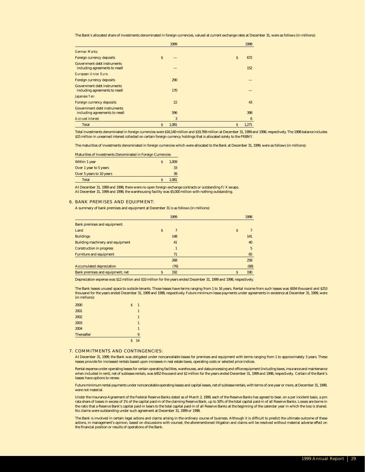The Bank's allocated share of investments denominated in foreign currencies, valued at current exchange rates at December 31, were as follows (in millions):

|                                                                      |   | 1999  |   | 1998            |
|----------------------------------------------------------------------|---|-------|---|-----------------|
| <b>German Marks:</b>                                                 |   |       |   |                 |
| Foreign currency deposits                                            | S |       | S | 672             |
| <b>Government debt instruments</b><br>including agreements to resell |   |       |   | 152             |
| <b>European Union Euro:</b>                                          |   |       |   |                 |
| Foreign currency deposits                                            |   | 290   |   |                 |
| <b>Government debt instruments</b><br>including agreements to resell |   | 170   |   |                 |
| Japanese Yen:                                                        |   |       |   |                 |
| Foreign currency deposits                                            |   | 22    |   | 43              |
| <b>Government debt instruments</b><br>including agreements to resell |   | 596   |   | 398             |
| <b>Accrued interest</b>                                              |   | 3     |   | $6\phantom{1}6$ |
| Total                                                                | S | 1,081 | S | 1,271           |

Total investments denominated in foreign currencies were \$16,140 million and \$19,769 million at December 31, 1999 and 1998, respectively. The 1998 balance includes \$15 million in unearned interest collected on certain foreign currency holdings that is allocated solely to the FRBNY.

The maturities of investments denominated in foreign currencies which were allocated to the Bank at December 31, 1999, were as follows (in millions):

Maturities of Investments Denominated in Foreign Currencies

| Within 1 year            | S | 1.009 |
|--------------------------|---|-------|
| Over 1 year to 5 years   |   | 33    |
| Over 5 years to 10 years |   | 39    |
| Total                    |   | 1.081 |

At December 31, 1999 and 1998, there were no open foreign exchange contracts or outstanding F/X swaps. At December 31, 1999 and 1998, the warehousing facility was \$5,000 million with nothing outstanding.

### 6. BANK PREMISES AND EQUIPMENT:

A summary of bank premises and equipment at December 31 is as follows (in millions):

|                                     |   | 1999           |   | 1998 |
|-------------------------------------|---|----------------|---|------|
| <b>Bank premises and equipment:</b> |   |                |   |      |
| Land                                | S | $\overline{7}$ | S | 7    |
| <b>Buildings</b>                    |   | 148            |   | 141  |
| Building machinery and equipment    |   | 41             |   | 40   |
| <b>Construction in progress</b>     |   | $\mathbf{1}$   |   | 5    |
| <b>Furniture and equipment</b>      |   | 71             |   | 65   |
|                                     |   | 268            |   | 258  |
| <b>Accumulated depreciation</b>     |   | (76)           |   | (68) |
| Bank premises and equipment, net    | S | 192            | S | 190  |

Depreciation expense was \$12 million and \$10 million for the years ended December 31, 1999 and 1998, respectively.

The Bank leases unused space to outside tenants. Those leases have terms ranging from 1 to 16 years. Rental income from such leases was \$934 thousand and \$253 thousand for the years ended December 31, 1999 and 1998, respectively. Future minimum lease payments under agreements in existence at December 31, 1999, were (in millions):

| 2000              | S | $\mathbf{1}$ |  |
|-------------------|---|--------------|--|
| 2001              |   | 1            |  |
| 2002              |   | 1            |  |
| 2003              |   | 1            |  |
| 2004              |   | 1            |  |
| <b>Thereafter</b> |   | 9            |  |
|                   | S | 14           |  |

### 7. COMMITMENTS AND CONTINGENCIES:

At December 31, 1999, the Bank was obligated under noncancelable leases for premises and equipment with terms ranging from 1 to approximately 3 years. These leases provide for increased rentals based upon increases in real estate taxes, operating costs or selected price indices.

Rental expense under operating leases for certain operating facilities, warehouses, and data processing and office equipment (including taxes, insurance and maintenance when included in rent), net of sublease rentals, was \$452 thousand and \$2 million for the years ended December 31, 1999 and 1998, respectively. Certain of the Bank's leases have options to renew.

Future minimum rental payments under noncancelable operating leases and capital leases, net of sublease rentals, with terms of one year or more, at December 31, 1999, were not material.

Under the Insurance Agreement of the Federal Reserve Banks dated as of March 2, 1999, each of the Reserve Banks has agreed to bear, on a per incident basis, a pro rata share of losses in excess of 1% of the capital paid-in of the claiming Reserve Bank, up to 50% of the total capital paid-in of all Reserve Banks. Losses are borne in the ratio that a Reserve Bank's capital paid-in bears to the total capital paid-in of all Reserve Banks at the beginning of the calendar year in which the loss is shared. No claims were outstanding under such agreement at December 31, 1999 or 1998.

The Bank is involved in certain legal actions and claims arising in the ordinary course of business. Although it is difficult to predict the ultimate outcome of these actions, in management's opinion, based on discussions with counsel, the aforementioned litigation and claims will be resolved without material adverse effect on the financial position or results of operations of the Bank.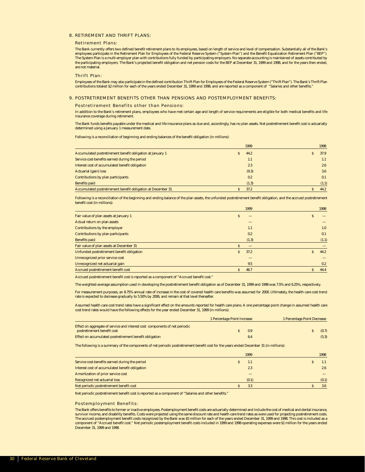### 8. RETIREMENT AND THRIFT PLANS:

#### Retirement Plans:

The Bank currently offers two defined benefit retirement plans to its employees, based on length of service and level of compensation. Substantially all of the Bank's employees participate in the Retirement Plan for Employees of the Federal Reserve System ("System Plan") and the Benefit Equalization Retirement Plan ("BEP"). The System Plan is a multi-employer plan with contributions fully funded by participating employers. No separate accounting is maintained of assets contributed by the participating employers. The Bank's projected benefit obligation and net pension costs for the BEP at December 31, 1999 and 1998, and for the years then ended, are not material.

#### Thrift Plan:

Employees of the Bank may also participate in the defined contribution Thrift Plan for Employees of the Federal Reserve System ("Thrift Plan"). The Bank's Thrift Plan contributions totaled \$2 million for each of the years ended December 31, 1999 and 1998, and are reported as a component of "Salaries and other benefits."

#### 9. POSTRETIREMENT BENEFITS OTHER THAN PENSIONS AND POSTEMPLOYMENT BENEFITS:

#### Postretirement Benefits other than Pensions:

In addition to the Bank's retirement plans, employees who have met certain age and length of service requirements are eligible for both medical benefits and life insurance coverage during retirement.

The Bank funds benefits payable under the medical and life insurance plans as due and, accordingly, has no plan assets. Net postretirement benefit cost is actuarially determined using a January 1 measurement date.

Following is a reconciliation of beginning and ending balances of the benefit obligation (in millions):

|                                                              | 1999  |  | 1998  |
|--------------------------------------------------------------|-------|--|-------|
| Accumulated postretirement benefit obligation at January 1   | 44.2  |  | 37.9  |
| Service cost-benefits earned during the period               | 1.1   |  | 1.1   |
| Interest cost of accumulated benefit obligation              | 2.3   |  | 2.6   |
| Actuarial (gain) loss                                        | (9.3) |  | 3.6   |
| Contributions by plan participants                           | 0.2   |  | 0.1   |
| Benefits paid                                                | (1.3) |  | (1.1) |
| Accumulated postretirement benefit obligation at December 31 | 37.2  |  | 44.2  |

Following is a reconciliation of the beginning and ending balance of the plan assets, the unfunded postretirement benefit obligation, and the accrued postretirement benefit cost (in millions):

|                                            | 1999                          | 1998                 |
|--------------------------------------------|-------------------------------|----------------------|
| Fair value of plan assets at January 1     | S<br>$\overline{\phantom{a}}$ | S                    |
| Actual return on plan assets               |                               |                      |
| Contributions by the employer              | 1.1                           | 1.0                  |
| Contributions by plan participants         | 0.2                           | 0.1                  |
| <b>Benefits</b> paid                       | (1.3)                         | (1.1)                |
| Fair value of plan assets at December 31   | $\overline{\phantom{m}}$      |                      |
| Unfunded postretirement benefit obligation | 37.2<br>S                     | 44.2<br><sub>S</sub> |
| Unrecognized prior service cost            |                               |                      |
| Unrecognized net actuarial gain            | 9.5                           | 0.2                  |
| Accrued postretirement benefit cost        | 46.7                          | 44.4                 |

Accrued postretirement benefit cost is reported as a component of "Accrued benefit cost."

The weighted-average assumption used in developing the postretirement benefit obligation as of December 31, 1999 and 1998 was 7.5% and 6.25%, respectively.

For measurement purposes, an 8.75% annual rate of increase in the cost of covered health care benefits was assumed for 2000. Ultimately, the health care cost trend rate is expected to decrease gradually to 5.50% by 2006, and remain at that level thereafter.

Assumed health care cost trend rates have a significant effect on the amounts reported for health care plans. A one percentage point change in assumed health care cost trend rates would have the following effects for the year ended December 31, 1999 (in millions):

|                                                                             | 1 Percentage Point Increase |     | 1 Percentage Point Decrease |  |  |  |
|-----------------------------------------------------------------------------|-----------------------------|-----|-----------------------------|--|--|--|
| Effect on aggregate of service and interest cost components of net periodic |                             |     |                             |  |  |  |
| postretirement benefit cost                                                 |                             | 0.9 | (0.7)                       |  |  |  |
| Effect on accumulated postretirement benefit obligation                     |                             | 6.4 | (5.3)                       |  |  |  |

The following is a summary of the components of net periodic postretirement benefit cost for the years ended December 31 (in millions):

|                                                 | 1999  |  | 1998  |
|-------------------------------------------------|-------|--|-------|
| Service cost-benefits earned during the period  |       |  |       |
| Interest cost of accumulated benefit obligation | 2.3   |  | 2.6   |
| Amortization of prior service cost              |       |  |       |
| Recognized net actuarial loss                   | (0.1) |  | (0.1) |
| Net periodic postretirement benefit cost        | 3.3   |  | 3.6   |

Net periodic postretirement benefit cost is reported as a component of "Salaries and other benefits."

#### Postemployment Benefits:

The Bank offers benefits to former or inactive employees. Postemployment benefit costs are actuarially determined and include the cost of medical and dental insurance, survivor income, and disability benefits. Costs were projected using the same discount rate and health care trend rates as were used for projecting postretirement costs. The accrued postemployment benefit costs recognized by the Bank was \$5 million for each of the years ended December 31, 1999 and 1998. This cost is included as a component of "Accrued benefit cost." Net periodic postemployment benefit costs included in 1999 and 1998 operating expenses were \$1 million for the years ended December 31, 1999 and 1998.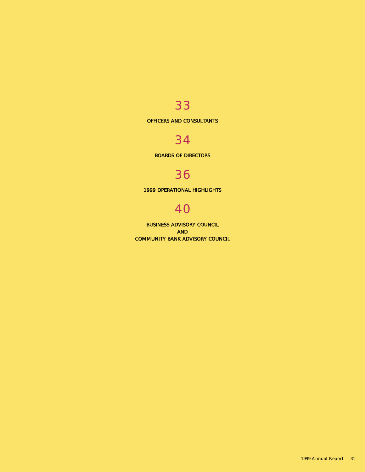# 33

OFFICERS AND CONSULTANTS

# 34

BOARDS OF DIRECTORS

# 36

1999 OPERATIONAL HIGHLIGHTS

# 40

BUSINESS ADVISORY COUNCIL AND COMMUNITY BANK ADVISORY COUNCIL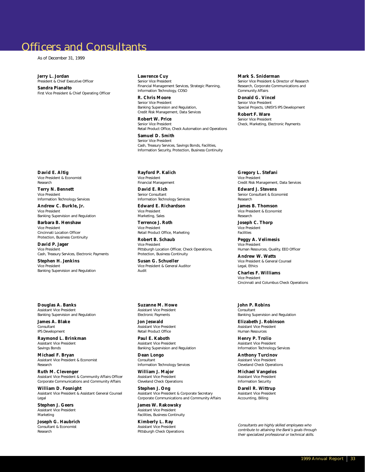### Officers and Consultants

As of December 31, 1999

**Jerry L. Jordan** President & Chief Executive Officer

**Sandra Pianalto** First Vice President & Chief Operating Officer

**David E. Altig** Vice President & Economist Research

**Terry N. Bennett** Vice President Information Technology Services

**Andrew C. Burkle, Jr.** Vice President Banking Supervision and Regulation

**Barbara B. Henshaw** Vice President

Cincinnati Location Officer Protection, Business Continuity **David P. Jager**

Vice President Cash, Treasury Services, Electronic Payments **Stephen H. Jenkins**

Vice President Banking Supervision and Regulation

**Douglas A. Banks** Assistant Vice President Banking Supervision and Regulation

**James A. Blake** Consultant IPS Development

**Raymond L. Brinkman** Assistant Vice President Savings Bonds

**Michael F. Bryan** Assistant Vice President & Economist Research

**Ruth M. Clevenger** Assistant Vice President & Community Affairs Officer Corporate Communications and Community Affairs

**William D. Fosnight** Assistant Vice President & Assistant General Counsel Legal

**Stephen J. Geers** Assistant Vice President Marketing

**Joseph G. Haubrich** Consultant & Economist Research

**Lawrence Cuy**

Senior Vice President Financial Management Services, Strategic Planning, Information Technology, COSO

**R. Chris Moore** Senior Vice President Banking Supervision and Regulation, Credit Risk Management, Data Services

**Robert W. Price** Senior Vice President Retail Product Office, Check Automation and Operations

**Samuel D. Smith** Senior Vice President Cash, Treasury Services, Savings Bonds, Facilities, Information Security, Protection, Business Continuity

**Rayford P. Kalich** Vice President Financial Management

**David E. Rich** Senior Consultant Information Technology Services

**Edward E. Richardson** Vice President Marketing, Sales

**Terrence J. Roth** Vice President Retail Product Office, Marketing

**Robert B. Schaub** Vice President Pittsburgh Location Officer, Check Operations, Protection, Business Continuity

**Susan G. Schueller** Vice President & General Auditor Audit

**Suzanne M. Howe** Assistant Vice President Electronic Payments

**Jon Jeswald** Assistant Vice President Retail Product Office

**Paul E. Kaboth** Assistant Vice President Banking Supervision and Regulation

**Dean Longo** Consultant Information Technology Services

**William J. Major** Assistant Vice President Cleveland Check Operations

**Stephen J. Ong** Assistant Vice President & Corporate Secretary Corporate Communications and Community Affairs

**James W. Rakowsky** Assistant Vice President Facilities, Business Continuity

**Kimberly L. Ray** Assistant Vice President Pittsburgh Check Operations

**Mark S. Sniderman** Senior Vice President & Director of Research Research, Corporate Communications and Community Affairs

**Donald G. Vincel** Senior Vice President Special Projects, UNISYS IPS Development

**Robert F. Ware** Senior Vice President Check, Marketing, Electronic Payments

**Gregory L. Stefani** Vice President Credit Risk Management, Data Services

**Edward J. Stevens** Senior Consultant & Economist Research

**James B. Thomson** Vice President & Economist Research

**Joseph C. Thorp** Vice President Facilities

**Peggy A. Velimesis** Vice President Human Resources, Quality, EEO Officer

**Andrew W. Watts** Vice President & General Counsel Legal, Ethics

**Charles F. Williams** Vice President Cincinnati and Columbus Check Operations

**John P. Robins** Consultant Banking Supervision and Regulation

**Elizabeth J. Robinson** Assistant Vice President Human Resources

**Henry P. Trolio** Assistant Vice President Information Technology Services

**Anthony Turcinov** Assistant Vice President Cleveland Check Operations

**Michael Vangelos** Assistant Vice President Information Security

**Darell R. Wittrup** Assistant Vice President Accounting, Billing

Consultants are highly skilled employees who contribute to attaining the Bank's goals through their specialized professional or technical skills.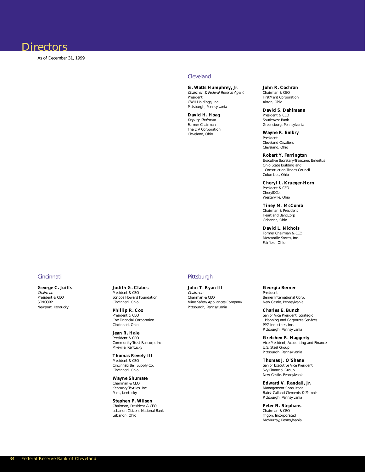### **Directors**

As of December 31, 1999

### Cleveland

**G. Watts Humphrey, Jr.** Chairman & Federal Reserve Agent President GWH Holdings, Inc. Pittsburgh, Pennsylvania

**David H. Hoag** Deputy Chairman Former Chairman The LTV Corporation

Cleveland, Ohio

### **John R. Cochran**

Chairman & CEO FirstMerit Corporation Akron, Ohio

**David S. Dahlmann** President & CEO

Southwest Bank Greensburg, Pennsylvania

**Wayne R. Embry** President

Cleveland Cavaliers Cleveland, Ohio

### **Robert Y. Farrington**

Executive Secretary-Treasurer, Emeritus Ohio State Building and Construction Trades Council Columbus, Ohio

**Cheryl L. Krueger-Horn**

President & CEO Cheryl&Co. Westerville, Ohio

**Tiney M. McComb** Chairman & President Heartland BancCorp Gahanna, Ohio

**David L. Nichols**

Former Chairman & CEO Mercantile Stores, Inc. Fairfield, Ohio

### Cincinnati

**George C. Juilfs** Chairman President & CEO SENCORP Newport, Kentucky

**Judith G. Clabes** President & CEO Scripps Howard Foundation Cincinnati, Ohio

**Phillip R. Cox** President & CEO Cox Financial Corporation Cincinnati, Ohio

**Jean R. Hale** President & CEO Community Trust Bancorp, Inc. Pikeville, Kentucky

**Thomas Revely III** President & CEO Cincinnati Bell Supply Co. Cincinnati, Ohio

**Wayne Shumate** Chairman & CEO Kentucky Textiles, Inc. Paris, Kentucky

**Stephen P. Wilson** Chairman, President & CEO Lebanon Citizens National Bank Lebanon, Ohio

### Pittsburgh

**John T. Ryan III** Chairman Chairman & CEO Mine Safety Appliances Company Pittsburgh, Pennsylvania

**Georgia Berner** President Berner International Corp. New Castle, Pennsylvania

**Charles E. Bunch** Senior Vice President, Strategic Planning and Corporate Services PPG Industries, Inc. Pittsburgh, Pennsylvania

**Gretchen R. Haggerty** Vice President, Accounting and Finance U.S. Steel Group Pittsburgh, Pennsylvania

**Thomas J. O'Shane** Senior Executive Vice President Sky Financial Group New Castle, Pennsylvania

**Edward V. Randall, Jr.** Management Consultant Babst Calland Clements & Zomnir Pittsburgh, Pennsylvania

**Peter N. Stephans** Chairman & CEO Trigon, Incorporated McMurray, Pennsylvania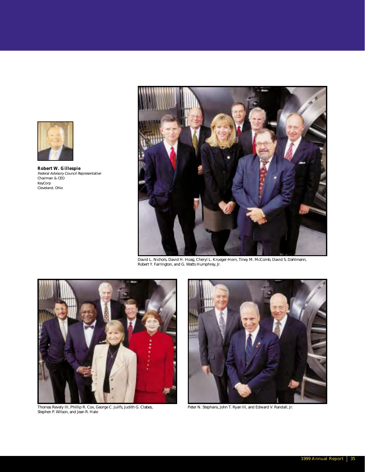

**Robert W. Gillespie**<br>*Federal Advisory Council Representative*<br>Chairman & CEO<br>KeyCorp<br>Cleveland, Ohio



David L. Nichols, David H. Hoag, Cheryl L. Krueger-Horn, Tiney M. McComb, David S. Dahlmann, Robert Y. Farrington, and G. Watts Humphrey, Jr.



Thomas Revely III, Phillip R. Cox, George C. Juilfs, Judith G. Clabes, Peter N. Stephans, John T. Ryan III, and Edward V. Randall, Jr. Stephen P. Wilson, and Jean R. Hale

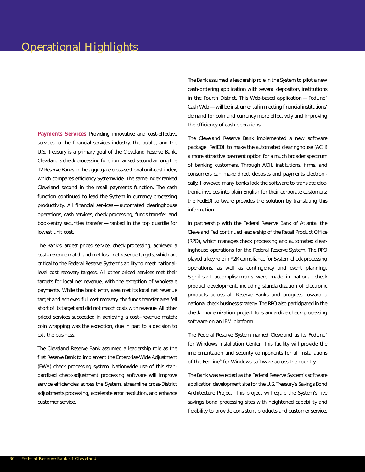**Payments Services** Providing innovative and cost-effective services to the financial services industry, the public, and the U.S. Treasury is a primary goal of the Cleveland Reserve Bank. Cleveland's check processing function ranked second among the 12 Reserve Banks in the aggregate cross-sectional unit-cost index, which compares efficiency Systemwide. The same index ranked Cleveland second in the retail payments function. The cash function continued to lead the System in currency processing productivity. All financial services — automated clearinghouse operations, cash services, check processing, funds transfer, and book-entry securities transfer — ranked in the top quartile for lowest unit cost.

The Bank's largest priced service, check processing, achieved a cost–revenue match and met local net revenue targets, which are critical to the Federal Reserve System's ability to meet nationallevel cost recovery targets. All other priced services met their targets for local net revenue, with the exception of wholesale payments. While the book entry area met its local net revenue target and achieved full cost recovery, the funds transfer area fell short of its target and did not match costs with revenue. All other priced services succeeded in achieving a cost–revenue match; coin wrapping was the exception, due in part to a decision to exit the business.

The Cleveland Reserve Bank assumed a leadership role as the first Reserve Bank to implement the Enterprise-Wide Adjustment (EWA) check processing system. Nationwide use of this standardized check-adjustment processing software will improve service efficiencies across the System, streamline cross-District adjustments processing, accelerate error resolution, and enhance customer service.

The Bank assumed a leadership role in the System to pilot a new cash-ordering application with several depository institutions in the Fourth District. This Web-based application - FedLine® Cash Web—will be instrumental in meeting financial institutions' demand for coin and currency more effectively and improving the efficiency of cash operations.

The Cleveland Reserve Bank implemented a new software package, FedEDI, to make the automated clearinghouse (ACH) a more attractive payment option for a much broader spectrum of banking customers. Through ACH, institutions, firms, and consumers can make direct deposits and payments electronically. However, many banks lack the software to translate electronic invoices into plain English for their corporate customers; the FedEDI software provides the solution by translating this information.

In partnership with the Federal Reserve Bank of Atlanta, the Cleveland Fed continued leadership of the Retail Product Office (RPO), which manages check processing and automated clearinghouse operations for the Federal Reserve System. The RPO played a key role in Y2K compliance for System check processing operations, as well as contingency and event planning. Significant accomplishments were made in national check product development, including standardization of electronic products across all Reserve Banks and progress toward a national check business strategy. The RPO also participated in the check modernization project to standardize check-processing software on an IBM platform.

The Federal Reserve System named Cleveland as its FedLine® for Windows Installation Center. This facility will provide the implementation and security components for all installations of the FedLine® for Windows software across the country.

The Bank was selected as the Federal Reserve System's software application development site for the U.S. Treasury's Savings Bond Architecture Project. This project will equip the System's five savings bond processing sites with heightened capability and flexibility to provide consistent products and customer service.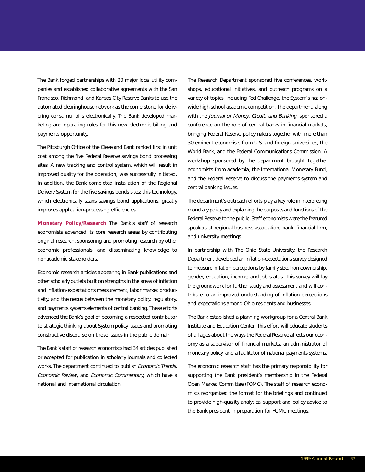The Bank forged partnerships with 20 major local utility companies and established collaborative agreements with the San Francisco, Richmond, and Kansas City Reserve Banks to use the automated clearinghouse network as the cornerstone for delivering consumer bills electronically. The Bank developed marketing and operating roles for this new electronic billing and payments opportunity.

The Pittsburgh Office of the Cleveland Bank ranked first in unit cost among the five Federal Reserve savings bond processing sites. A new tracking and control system, which will result in improved quality for the operation, was successfully initiated. In addition, the Bank completed installation of the Regional Delivery System for the five savings bonds sites; this technology, which electronically scans savings bond applications, greatly improves application-processing efficiencies.

**Monetary Policy/Research** The Bank's staff of research economists advanced its core research areas by contributing original research, sponsoring and promoting research by other economic professionals, and disseminating knowledge to nonacademic stakeholders.

Economic research articles appearing in Bank publications and other scholarly outlets built on strengths in the areas of inflation and inflation-expectations measurement, labor market productivity, and the nexus between the monetary policy, regulatory, and payments systems elements of central banking. These efforts advanced the Bank's goal of becoming a respected contributor to strategic thinking about System policy issues and promoting constructive discourse on those issues in the public domain.

The Bank's staff of research economists had 34 articles published or accepted for publication in scholarly journals and collected works. The department continued to publish Economic Trends, Economic Review, and Economic Commentary, which have a national and international circulation.

The Research Department sponsored five conferences, workshops, educational initiatives, and outreach programs on a variety of topics, including Fed Challenge, the System's nationwide high school academic competition. The department, along with the Journal of Money, Credit, and Banking, sponsored a conference on the role of central banks in financial markets, bringing Federal Reserve policymakers together with more than 30 eminent economists from U.S. and foreign universities, the World Bank, and the Federal Communications Commission. A workshop sponsored by the department brought together economists from academia, the International Monetary Fund, and the Federal Reserve to discuss the payments system and central banking issues.

The department's outreach efforts play a key role in interpreting monetary policy and explaining the purposes and functions of the Federal Reserve to the public. Staff economists were the featured speakers at regional business association, bank, financial firm, and university meetings.

In partnership with The Ohio State University, the Research Department developed an inflation-expectations survey designed to measure inflation perceptions by family size, homeownership, gender, education, income, and job status. This survey will lay the groundwork for further study and assessment and will contribute to an improved understanding of inflation perceptions and expectations among Ohio residents and businesses.

The Bank established a planning workgroup for a Central Bank Institute and Education Center. This effort will educate students of all ages about the ways the Federal Reserve affects our economy as a supervisor of financial markets, an administrator of monetary policy, and a facilitator of national payments systems.

The economic research staff has the primary responsibility for supporting the Bank president's membership in the Federal Open Market Committee (FOMC). The staff of research economists reorganized the format for the briefings and continued to provide high-quality analytical support and policy advice to the Bank president in preparation for FOMC meetings.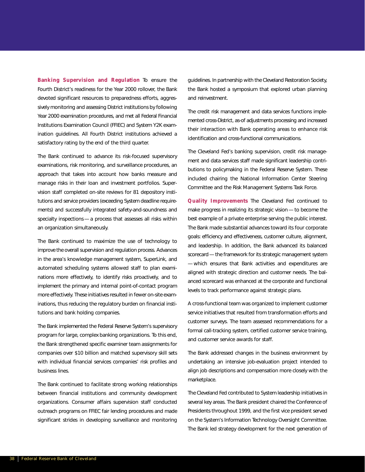**Banking Supervision and Regulation** To ensure the Fourth District's readiness for the Year 2000 rollover, the Bank devoted significant resources to preparedness efforts, aggressively monitoring and assessing District institutions by following Year 2000 examination procedures, and met all Federal Financial Institutions Examination Council (FFIEC) and System Y2K examination guidelines. All Fourth District institutions achieved a satisfactory rating by the end of the third quarter.

The Bank continued to advance its risk-focused supervisory examinations, risk monitoring, and surveillance procedures, an approach that takes into account how banks measure and manage risks in their loan and investment portfolios. Supervision staff completed on-site reviews for 81 depository institutions and service providers (exceeding System deadline requirements) and successfully integrated safety-and-soundness and specialty inspections — a process that assesses all risks within an organization simultaneously.

The Bank continued to maximize the use of technology to improve the overall supervision and regulation process. Advances in the area's knowledge management system, SuperLink, and automated scheduling systems allowed staff to plan examinations more effectively, to identify risks proactively, and to implement the primary and internal point-of-contact program more effectively. These initiatives resulted in fewer on-site examinations, thus reducing the regulatory burden on financial institutions and bank holding companies.

The Bank implemented the Federal Reserve System's supervisory program for large, complex banking organizations. To this end, the Bank strengthened specific examiner team assignments for companies over \$10 billion and matched supervisory skill sets with individual financial services companies' risk profiles and business lines.

The Bank continued to facilitate strong working relationships between financial institutions and community development organizations. Consumer affairs supervision staff conducted outreach programs on FFIEC fair lending procedures and made significant strides in developing surveillance and monitoring

guidelines. In partnership with the Cleveland Restoration Society, the Bank hosted a symposium that explored urban planning and reinvestment.

The credit risk management and data services functions implemented cross-District, as-of adjustments processing and increased their interaction with Bank operating areas to enhance risk identification and cross-functional communications.

The Cleveland Fed's banking supervision, credit risk management and data services staff made significant leadership contributions to policymaking in the Federal Reserve System. These included chairing the National Information Center Steering Committee and the Risk Management Systems Task Force.

**Quality Improvements** The Cleveland Fed continued to make progress in realizing its strategic vision — to become the best example of a private enterprise serving the public interest. The Bank made substantial advances toward its four corporate goals: efficiency and effectiveness, customer culture, alignment, and leadership. In addition, the Bank advanced its balanced scorecard — the framework for its strategic management system — which ensures that Bank activities and expenditures are aligned with strategic direction and customer needs. The balanced scorecard was enhanced at the corporate and functional levels to track performance against strategic plans.

A cross-functional team was organized to implement customer service initiatives that resulted from transformation efforts and customer surveys. The team assessed recommendations for a formal call-tracking system, certified customer service training, and customer service awards for staff.

The Bank addressed changes in the business environment by undertaking an intensive job-evaluation project intended to align job descriptions and compensation more closely with the marketplace.

The Cleveland Fed contributed to System leadership initiatives in several key areas. The Bank president chaired the Conference of Presidents throughout 1999, and the first vice president served on the System's Information Technology Oversight Committee. The Bank led strategy development for the next generation of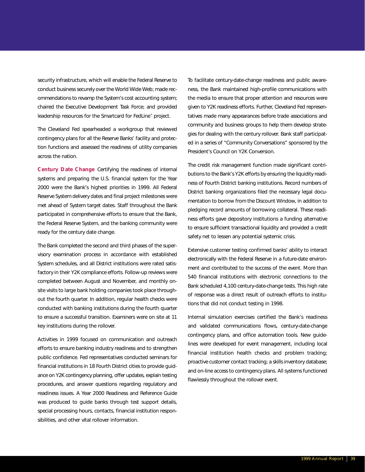security infrastructure, which will enable the Federal Reserve to conduct business securely over the World Wide Web; made recommendations to revamp the System's cost accounting system; chaired the Executive Development Task Force; and provided leadership resources for the Smartcard for FedLine<sup>\*</sup> project.

The Cleveland Fed spearheaded a workgroup that reviewed contingency plans for all the Reserve Banks' facility and protection functions and assessed the readiness of utility companies across the nation.

**Century Date Change** Certifying the readiness of internal systems and preparing the U.S. financial system for the Year 2000 were the Bank's highest priorities in 1999. All Federal Reserve System delivery dates and final project milestones were met ahead of System target dates. Staff throughout the Bank participated in comprehensive efforts to ensure that the Bank, the Federal Reserve System, and the banking community were ready for the century date change.

The Bank completed the second and third phases of the supervisory examination process in accordance with established System schedules, and all District institutions were rated satisfactory in their Y2K compliance efforts. Follow-up reviews were completed between August and November, and monthly onsite visits to large bank holding companies took place throughout the fourth quarter. In addition, regular health checks were conducted with banking institutions during the fourth quarter to ensure a successful transition. Examiners were on site at 11 key institutions during the rollover.

Activities in 1999 focused on communication and outreach efforts to ensure banking industry readiness and to strengthen public confidence. Fed representatives conducted seminars for financial institutions in 18 Fourth District cities to provide guidance on Y2K contingency planning, offer updates, explain testing procedures, and answer questions regarding regulatory and readiness issues. A Year 2000 Readiness and Reference Guide was produced to guide banks through test support details, special processing hours, contacts, financial institution responsibilities, and other vital rollover information.

To facilitate century-date-change readiness and public awareness, the Bank maintained high-profile communications with the media to ensure that proper attention and resources were given to Y2K readiness efforts. Further, Cleveland Fed representatives made many appearances before trade associations and community and business groups to help them develop strategies for dealing with the century rollover. Bank staff participated in a series of "Community Conversations" sponsored by the President's Council on Y2K Conversion.

The credit risk management function made significant contributions to the Bank's Y2K efforts by ensuring the liquidity readiness of Fourth District banking institutions. Record numbers of District banking organizations filed the necessary legal documentation to borrow from the Discount Window, in addition to pledging record amounts of borrowing collateral. These readiness efforts gave depository institutions a funding alternative to ensure sufficient transactional liquidity and provided a credit safety net to lessen any potential systemic crisis.

Extensive customer testing confirmed banks' ability to interact electronically with the Federal Reserve in a future-date environment and contributed to the success of the event. More than 540 financial institutions with electronic connections to the Bank scheduled 4,100 century-date-change tests. This high rate of response was a direct result of outreach efforts to institutions that did not conduct testing in 1998.

Internal simulation exercises certified the Bank's readiness and validated communications flows, century-date-change contingency plans, and office automation tools. New guidelines were developed for event management, including local financial institution health checks and problem tracking; proactive customer contact tracking; a skills inventory database; and on-line access to contingency plans. All systems functioned flawlessly throughout the rollover event.